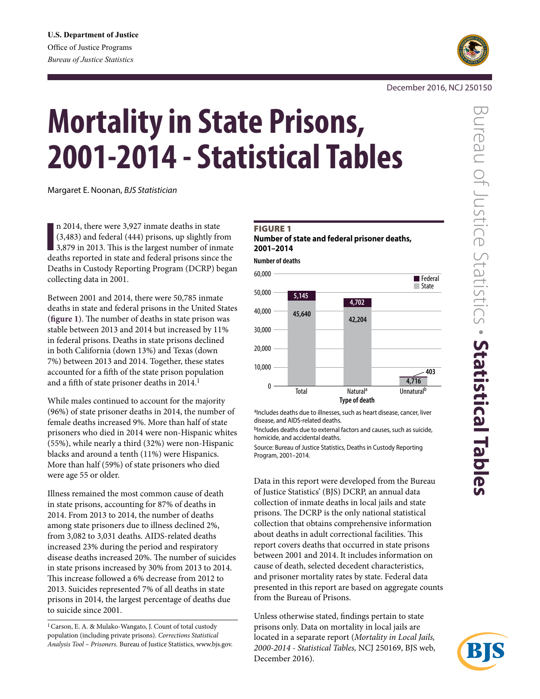

# December 2016, NCJ 250150

# **Mortality in State Prisons, 2001-2014 - Statistical Tables**

Margaret E. Noonan, *BJS Statistician*

In 2014, there were 3,927 inmate deaths in state<br>
(3,483) and federal (444) prisons, up slightly from<br>
3,879 in 2013. This is the largest number of inmate<br>
deaths reported in state and federal prisons since the n 2014, there were 3,927 inmate deaths in state (3,483) and federal (444) prisons, up slightly from deaths reported in state and federal prisons since the Deaths in Custody Reporting Program (DCRP) began collecting data in 2001.

Between 2001 and 2014, there were 50,785 inmate deaths in state and federal prisons in the United States **(figure 1)**. The number of deaths in state prison was stable between 2013 and 2014 but increased by 11% in federal prisons. Deaths in state prisons declined in both California (down 13%) and Texas (down 7%) between 2013 and 2014. Together, these states accounted for a fifth of the state prison population and a fifth of state prisoner deaths in 2014.<sup>1</sup>

While males continued to account for the majority (96%) of state prisoner deaths in 2014, the number of female deaths increased 9%. More than half of state prisoners who died in 2014 were non-Hispanic whites (55%), while nearly a third (32%) were non-Hispanic blacks and around a tenth (11%) were Hispanics. More than half (59%) of state prisoners who died were age 55 or older.

Illness remained the most common cause of death in state prisons, accounting for 87% of deaths in 2014. From 2013 to 2014, the number of deaths among state prisoners due to illness declined 2%, from 3,082 to 3,031 deaths. AIDS-related deaths increased 23% during the period and respiratory disease deaths increased 20%. The number of suicides in state prisons increased by 30% from 2013 to 2014. This increase followed a 6% decrease from 2012 to 2013. Suicides represented 7% of all deaths in state prisons in 2014, the largest percentage of deaths due to suicide since 2001.

1Carson, E. A. & Mulako-Wangato, J. Count of total custody population (including private prisons). *Corrections Statistical Analysis Tool – Prisoners.* Bureau of Justice Statistics, www.bjs.gov.

# **FIGURE 1**

**Number of state and federal prisoner deaths, 2001–2014**

**Number of deaths**



aIncludes deaths due to illnesses, such as heart disease, cancer, liver disease, and AIDS-related deaths.

bIncludes deaths due to external factors and causes, such as suicide, homicide, and accidental deaths.

Source: Bureau of Justice Statistics, Deaths in Custody Reporting Program, 2001–2014.

Data in this report were developed from the Bureau of Justice Statistics' (BJS) DCRP, an annual data collection of inmate deaths in local jails and state prisons. The DCRP is the only national statistical collection that obtains comprehensive information about deaths in adult correctional facilities. This report covers deaths that occurred in state prisons between 2001 and 2014. It includes information on cause of death, selected decedent characteristics, and prisoner mortality rates by state. Federal data presented in this report are based on aggregate counts from the Bureau of Prisons.

Unless otherwise stated, findings pertain to state prisons only. Data on mortality in local jails are located in a separate report (*Mortality in Local Jails, 2000-2014 - Statistical Tables,* NCJ 250169, BJS web, December 2016).

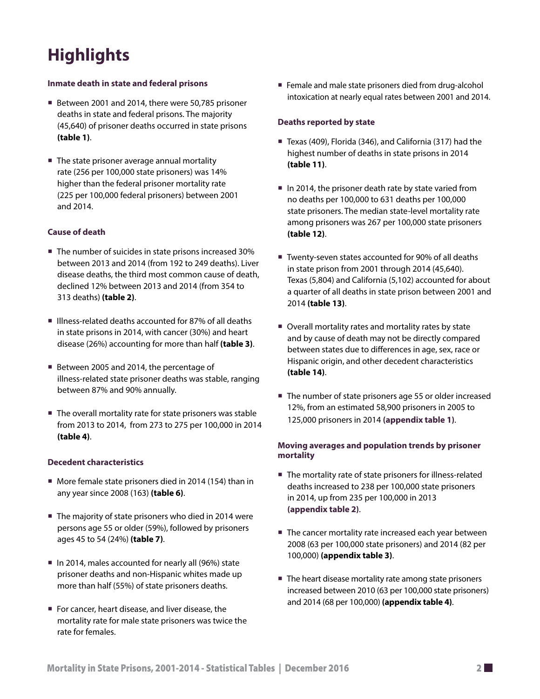# **Highlights**

# **Inmate death in state and federal prisons**

- Between 2001 and 2014, there were 50,785 prisoner deaths in state and federal prisons. The majority (45,640) of prisoner deaths occurred in state prisons **(table 1)**.
- The state prisoner average annual mortality rate (256 per 100,000 state prisoners) was 14% higher than the federal prisoner mortality rate (225 per 100,000 federal prisoners) between 2001 and 2014.

# **Cause of death**

- The number of suicides in state prisons increased 30% between 2013 and 2014 (from 192 to 249 deaths). Liver disease deaths, the third most common cause of death, declined 12% between 2013 and 2014 (from 354 to 313 deaths) **(table 2)**.
- Illness-related deaths accounted for 87% of all deaths in state prisons in 2014, with cancer (30%) and heart disease (26%) accounting for more than half **(table 3)**.
- Between 2005 and 2014, the percentage of illness-related state prisoner deaths was stable, ranging between 87% and 90% annually.
- The overall mortality rate for state prisoners was stable from 2013 to 2014, from 273 to 275 per 100,000 in 2014 **(table 4)**.

# **Decedent characteristics**

- More female state prisoners died in 2014 (154) than in any year since 2008 (163) **(table 6)**.
- The majority of state prisoners who died in 2014 were persons age 55 or older (59%), followed by prisoners ages 45 to 54 (24%) **(table 7)**.
- In 2014, males accounted for nearly all (96%) state prisoner deaths and non-Hispanic whites made up more than half (55%) of state prisoners deaths.
- For cancer, heart disease, and liver disease, the mortality rate for male state prisoners was twice the rate for females.

■ Female and male state prisoners died from drug-alcohol intoxication at nearly equal rates between 2001 and 2014.

# **Deaths reported by state**

- Texas (409), Florida (346), and California (317) had the highest number of deaths in state prisons in 2014 **(table 11)**.
- In 2014, the prisoner death rate by state varied from no deaths per 100,000 to 631 deaths per 100,000 state prisoners. The median state-level mortality rate among prisoners was 267 per 100,000 state prisoners **(table 12)**.
- Twenty-seven states accounted for 90% of all deaths in state prison from 2001 through 2014 (45,640). Texas (5,804) and California (5,102) accounted for about a quarter of all deaths in state prison between 2001 and 2014 **(table 13)**.
- Overall mortality rates and mortality rates by state and by cause of death may not be directly compared between states due to differences in age, sex, race or Hispanic origin, and other decedent characteristics **(table 14)**.
- The number of state prisoners age 55 or older increased 12%, from an estimated 58,900 prisoners in 2005 to 125,000 prisoners in 2014 **(appendix table 1)**.

# **Moving averages and population trends by prisoner mortality**

- The mortality rate of state prisoners for illness-related deaths increased to 238 per 100,000 state prisoners in 2014, up from 235 per 100,000 in 2013 **(appendix table 2)**.
- The cancer mortality rate increased each year between 2008 (63 per 100,000 state prisoners) and 2014 (82 per 100,000) **(appendix table 3)**.
- The heart disease mortality rate among state prisoners increased between 2010 (63 per 100,000 state prisoners) and 2014 (68 per 100,000) **(appendix table 4)**.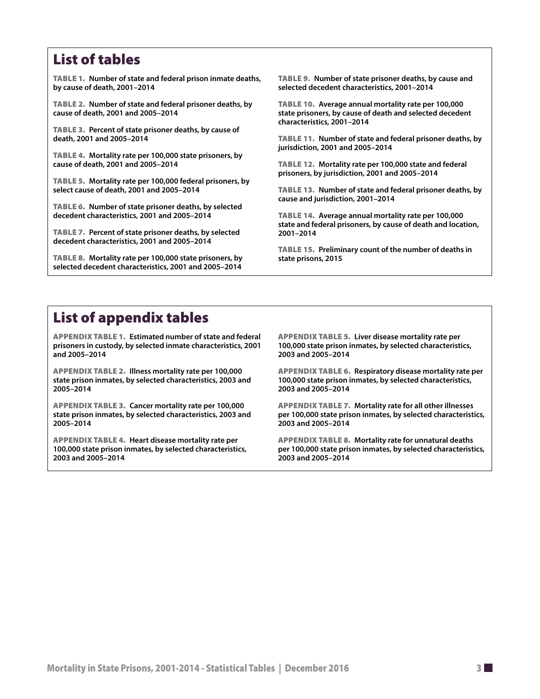# List of tables

Table 1. **[Number of state and federal prison inmate deaths,](#page-3-0)  [by cause of death, 2001–2014](#page-3-0)**

Table 2. **[Number of state and federal prisoner deaths, by](#page-3-0)  [cause of death, 2001 and 2005–2014](#page-3-0)**

Table 3. **[Percent of state prisoner deaths, by cause of](#page-4-0)  [death, 2001 and 2005–2014](#page-4-0)**

Table 4. **[Mortality rate per 100,000 state prisoners, by](#page-4-0)  [cause of death, 2001 and 2005–2014](#page-4-0)**

Table 5. **[Mortality rate per 100,000 federal prisoners, by](#page-5-0)  [select cause of death, 2001 and 2005–2014](#page-5-0)**

Table 6. **[Number of state prisoner deaths, by selected](#page-5-0)  [decedent characteristics, 2001 and 2005–2014](#page-5-0)**

Table 7. **[Percent of state prisoner deaths, by selected](#page-6-0)  [decedent characteristics, 2001 and 2005–2014](#page-6-0)**

Table 8. **[Mortality rate per 100,000 state prisoners, by](#page-6-0)  [selected decedent characteristics, 2001 and 2005–2014](#page-6-0)**

Table 9. **[Number of state prisoner deaths, by cause and](#page-7-0)  [selected decedent characteristics, 2001–2014](#page-7-0)**

Table 10. **[Average annual mortality rate per 100,000](#page-8-0)  [state prisoners, by cause of death and selected decedent](#page-8-0)  [characteristics, 2001–2014](#page-8-0)**

Table 11. **[Number of state and federal prisoner deaths, by](#page-9-0)  [jurisdiction, 2001 and 2005–2014](#page-9-0)**

Table 12. **[Mortality rate per 100,000 state and federal](#page-10-0)  [prisoners, by jurisdiction, 2001 and 2005–2014](#page-10-0)**

Table 13. **[Number of state and federal prisoner deaths, by](#page-11-0)  [cause and jurisdiction, 2001–2014](#page-11-0)**

Table 14. **[Average annual mortality rate per 100,000](#page-12-0)  [state and federal prisoners, by cause of death and location,](#page-12-0)  [2001–2014](#page-12-0)**

Table 15. **[Preliminary count of the number of deaths in](#page-13-0)  [state prisons, 2015](#page-13-0)**

# List of appendix tables

Appendix table 1. **[Estimated number of state and federal](#page-17-0)  [prisoners in custody, by selected inmate characteristics, 2001](#page-17-0) [and 2005–2014](#page-17-0)**

Appendix table 2. **[Illness mortality rate per 100,000](#page-17-0)  [state prison inmates, by selected characteristics, 2003 and](#page-17-0)  [2005–2014](#page-17-0)**

Appendix table 3. **[Cancer mortality rate per 100,000](#page-18-0)  [state prison inmates, by selected characteristics, 2003 and](#page-18-0)  [2005–2014](#page-18-0)**

Appendix table 4. **[Heart disease mortality rate per](#page-18-0)  [100,000 state prison inmates, by selected characteristics,](#page-18-0)  [2003 and 2005–2014](#page-18-0)**

Appendix table 5. **[Liver disease mortality rate per](#page-19-0)  [100,000 state prison inmates, by selected characteristics,](#page-19-0)  [2003 and 2005–2014](#page-19-0)**

Appendix table 6. **[Respiratory disease mortality rate per](#page-19-0)  [100,000 state prison inmates, by selected characteristics,](#page-19-0)  [2003 and 2005–2014](#page-19-0)**

Appendix table 7. **[Mortality rate for all other illnesses](#page-20-0)  [per 100,000 state prison inmates, by selected characteristics,](#page-20-0)  [2003 and 2005–2014](#page-20-0)**

Appendix table 8. **[Mortality rate for unnatural deaths](#page-20-0)  [per 100,000 state prison inmates, by selected characteristics,](#page-20-0)  [2003 and 2005–2014](#page-20-0)**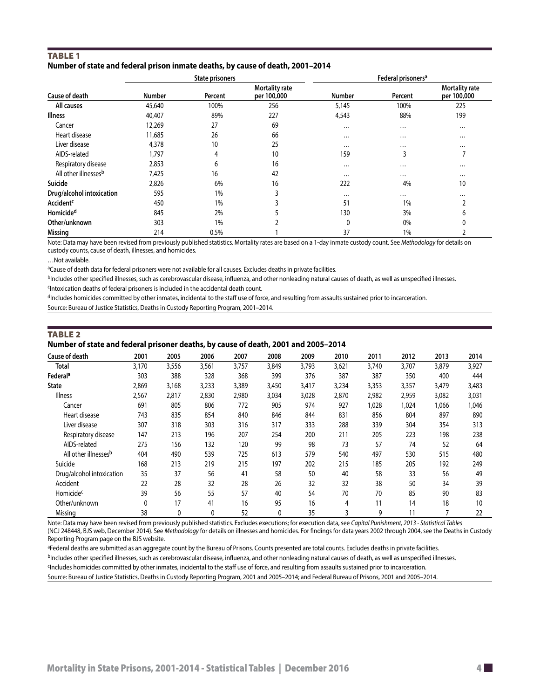# <span id="page-3-0"></span>**TABLE 1 Number of state and federal prison inmate deaths, by cause of death, 2001–2014**

|                             |               | <b>State prisoners</b> |                                      | Federal prisoners <sup>a</sup> |          |                                      |  |  |
|-----------------------------|---------------|------------------------|--------------------------------------|--------------------------------|----------|--------------------------------------|--|--|
| Cause of death              | <b>Number</b> | Percent                | <b>Mortality rate</b><br>per 100,000 | <b>Number</b>                  | Percent  | <b>Mortality rate</b><br>per 100,000 |  |  |
| All causes                  | 45,640        | 100%                   | 256                                  | 5,145                          | 100%     | 225                                  |  |  |
| <b>Illness</b>              | 40,407        | 89%                    | 227                                  | 4,543                          | 88%      | 199                                  |  |  |
| Cancer                      | 12,269        | 27                     | 69                                   | $\cdots$                       | $\cdots$ |                                      |  |  |
| Heart disease               | 11,685        | 26                     | 66                                   | $\cdots$                       | $\cdots$ | $\cdots$                             |  |  |
| Liver disease               | 4,378         | 10                     | 25                                   | $\cdots$                       | $\cdots$ | $\cdots$                             |  |  |
| AIDS-related                | 1.797         | 4                      | 10                                   | 159                            | ຳ<br>Ć   | ⇁                                    |  |  |
| Respiratory disease         | 2,853         | 6                      | 16                                   | $\cdots$                       | $\cdots$ | $\cdots$                             |  |  |
| All other illnessesb        | 7,425         | 16                     | 42                                   | $\cdots$                       | $\cdots$ | $\cdots$                             |  |  |
| Suicide                     | 2,826         | 6%                     | 16                                   | 222                            | 4%       | 10                                   |  |  |
| Drug/alcohol intoxication   | 595           | 1%                     | 3                                    | $\cdots$                       | $\cdots$ | $\cdots$                             |  |  |
| <b>Accident<sup>c</sup></b> | 450           | 1%                     |                                      | 51                             | 1%       | $\overline{\phantom{0}}$             |  |  |
| Homicide <sup>d</sup>       | 845           | 2%                     |                                      | 130                            | 3%       | 6                                    |  |  |
| Other/unknown               | 303           | 1%                     |                                      | 0                              | 0%       | 0                                    |  |  |
| Missing                     | 214           | 0.5%                   |                                      | 37                             | 1%       |                                      |  |  |

Note: Data may have been revised from previously published statistics. Mortality rates are based on a 1-day inmate custody count. See *Methodology* for details on custody counts, cause of death, illnesses, and homicides.

…Not available.

aCause of death data for federal prisoners were not available for all causes. Excludes deaths in private facilities.

bIncludes other specified illnesses, such as cerebrovascular disease, influenza, and other nonleading natural causes of death, as well as unspecified illnesses.

cIntoxication deaths of federal prisoners is included in the accidental death count. dIncludes homicides committed by other inmates, incidental to the staff use of force, and resulting from assaults sustained prior to incarceration.

Source: Bureau of Justice Statistics, Deaths in Custody Reporting Program, 2001–2014.

# **TABLE 2 Number of state and federal prisoner deaths, by cause of death, 2001 and 2005–2014**

| <b>Cause of death</b>            | 2001  | 2005         | 2006  | 2007  | 2008  | 2009  | 2010  | 2011  | 2012  | 2013  | 2014            |
|----------------------------------|-------|--------------|-------|-------|-------|-------|-------|-------|-------|-------|-----------------|
| <b>Total</b>                     | 3,170 | 3,556        | 3,561 | 3,757 | 3,849 | 3,793 | 3,621 | 3,740 | 3,707 | 3,879 | 3,927           |
| Federal <sup>a</sup>             | 303   | 388          | 328   | 368   | 399   | 376   | 387   | 387   | 350   | 400   | 444             |
| <b>State</b>                     | 2,869 | 3,168        | 3,233 | 3,389 | 3,450 | 3,417 | 3,234 | 3,353 | 3,357 | 3,479 | 3,483           |
| <b>Illness</b>                   | 2,567 | 2,817        | 2,830 | 2,980 | 3,034 | 3,028 | 2,870 | 2,982 | 2,959 | 3,082 | 3,031           |
| Cancer                           | 691   | 805          | 806   | 772   | 905   | 974   | 927   | 1,028 | 1,024 | 1,066 | 1,046           |
| Heart disease                    | 743   | 835          | 854   | 840   | 846   | 844   | 831   | 856   | 804   | 897   | 890             |
| Liver disease                    | 307   | 318          | 303   | 316   | 317   | 333   | 288   | 339   | 304   | 354   | 313             |
| Respiratory disease              | 147   | 213          | 196   | 207   | 254   | 200   | 211   | 205   | 223   | 198   | 238             |
| AIDS-related                     | 275   | 156          | 132   | 120   | 99    | 98    | 73    | 57    | 74    | 52    | 64              |
| All other illnesses <sup>b</sup> | 404   | 490          | 539   | 725   | 613   | 579   | 540   | 497   | 530   | 515   | 480             |
| Suicide                          | 168   | 213          | 219   | 215   | 197   | 202   | 215   | 185   | 205   | 192   | 249             |
| Drug/alcohol intoxication        | 35    | 37           | 56    | 41    | 58    | 50    | 40    | 58    | 33    | 56    | 49              |
| Accident                         | 22    | 28           | 32    | 28    | 26    | 32    | 32    | 38    | 50    | 34    | 39              |
| Homicide <sup>c</sup>            | 39    | 56           | 55    | 57    | 40    | 54    | 70    | 70    | 85    | 90    | 83              |
| Other/unknown                    | 0     | 17           | 41    | 16    | 95    | 16    | 4     | 11    | 14    | 18    | 10 <sup>°</sup> |
| Missina                          | 38    | $\mathbf{0}$ | 0     | 52    | 0     | 35    | 3     | 9     | 11    |       | 22              |

Note: Data may have been revised from previously published statistics. Excludes executions; for execution data, see *Capital Punishment, 2013 - Statistical Tables* (NCJ 248448, BJS web, December 2014). See *Methodology* for details on illnesses and homicides. For findings for data years 2002 through 2004, see the Deaths in Custody Reporting Program page on the BJS website.

aFederal deaths are submitted as an aggregate count by the Bureau of Prisons. Counts presented are total counts. Excludes deaths in private facilities.

bIncludes other specified illnesses, such as cerebrovascular disease, influenza, and other nonleading natural causes of death, as well as unspecified illnesses.

<sup>c</sup>Includes homicides committed by other inmates, incidental to the staff use of force, and resulting from assaults sustained prior to incarceration.

Source: Bureau of Justice Statistics, Deaths in Custody Reporting Program, 2001 and 2005–2014; and Federal Bureau of Prisons, 2001 and 2005–2014.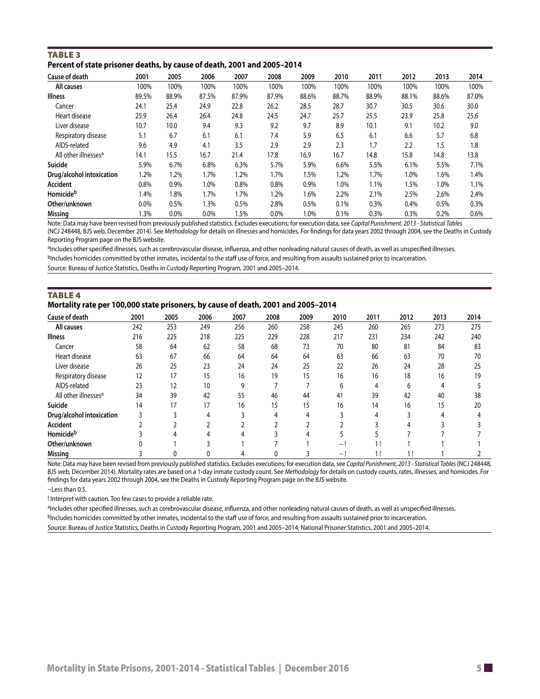# <span id="page-4-0"></span>TABLE<sub>3</sub> **Percent of state prisoner deaths, by cause of death, 2001 and 2005–2014**

| Cause of death                   | 2001    | 2005    | 2006  | 2007  | 2008    | 2009  | 2010  | 2011  | 2012  | 2013  | 2014  |
|----------------------------------|---------|---------|-------|-------|---------|-------|-------|-------|-------|-------|-------|
| All causes                       | 100%    | 100%    | 100%  | 100%  | 100%    | 100%  | 100%  | 100%  | 100%  | 100%  | 100%  |
| <b>Illness</b>                   | 89.5%   | 88.9%   | 87.5% | 87.9% | 87.9%   | 88.6% | 88.7% | 88.9% | 88.1% | 88.6% | 87.0% |
| Cancer                           | 24.1    | 25.4    | 24.9  | 22.8  | 26.2    | 28.5  | 28.7  | 30.7  | 30.5  | 30.6  | 30.0  |
| Heart disease                    | 25.9    | 26.4    | 26.4  | 24.8  | 24.5    | 24.7  | 25.7  | 25.5  | 23.9  | 25.8  | 25.6  |
| Liver disease                    | 10.7    | 10.0    | 9.4   | 9.3   | 9.2     | 9.7   | 8.9   | 10.1  | 9.1   | 10.2  | 9.0   |
| Respiratory disease              | 5.1     | 6.7     | 6.1   | 6.1   | 7.4     | 5.9   | 6.5   | 6.1   | 6.6   | 5.7   | 6.8   |
| AIDS-related                     | 9.6     | 4.9     | 4.1   | 3.5   | 2.9     | 2.9   | 2.3   | 1.7   | 2.2   | 1.5   | 1.8   |
| All other illnesses <sup>a</sup> | 14.1    | 15.5    | 16.7  | 21.4  | 17.8    | 16.9  | 16.7  | 14.8  | 15.8  | 14.8  | 13.8  |
| Suicide                          | 5.9%    | 6.7%    | 6.8%  | 6.3%  | 5.7%    | 5.9%  | 6.6%  | 5.5%  | 6.1%  | 5.5%  | 7.1%  |
| Drug/alcohol intoxication        | $1.2\%$ | 1.2%    | 1.7%  | 1.2%  | 1.7%    | 1.5%  | 1.2%  | 1.7%  | 1.0%  | 1.6%  | 1.4%  |
| Accident                         | 0.8%    | 0.9%    | 1.0%  | 0.8%  | 0.8%    | 0.9%  | 1.0%  | 1.1%  | 1.5%  | 1.0%  | 1.1%  |
| <b>Homicide</b> <sup>b</sup>     | l.4%    | 1.8%    | 1.7%  | 1.7%  | 1.2%    | 1.6%  | 2.2%  | 2.1%  | 2.5%  | 2.6%  | 2.4%  |
| Other/unknown                    | 0.0%    | 0.5%    | 1.3%  | 0.5%  | 2.8%    | 0.5%  | 0.1%  | 0.3%  | 0.4%  | 0.5%  | 0.3%  |
| Missing                          | .3%     | $0.0\%$ | 0.0%  | 1.5%  | $0.0\%$ | 1.0%  | 0.1%  | 0.3%  | 0.3%  | 0.2%  | 0.6%  |

Note: Data may have been revised from previously published statistics. Excludes executions; for execution data, see *Capital Punishment, 2013 - Statistical Tables* (NCJ 248448, BJS web, December 2014). See *Methodology* for details on illnesses and homicides. For findings for data years 2002 through 2004, see the Deaths in Custody Reporting Program page on the BJS website.

aIncludes other specified illnesses, such as cerebrovascular disease, influenza, and other nonleading natural causes of death, as well as unspecified illnesses. bIncludes homicides committed by other inmates, incidental to the staff use of force, and resulting from assaults sustained prior to incarceration.

Source: Bureau of Justice Statistics, Deaths in Custody Reporting Program, 2001 and 2005–2014.

| <b>TABLE 4</b>                                                                    |
|-----------------------------------------------------------------------------------|
| Mortality rate per 100,000 state prisoners, by cause of death, 2001 and 2005-2014 |

| Cause of death                   | 2001 | 2005 | 2006 | 2007 | 2008 | 2009 | 2010                     | 2011         | 2012 | 2013 | 2014 |
|----------------------------------|------|------|------|------|------|------|--------------------------|--------------|------|------|------|
| <b>All causes</b>                | 242  | 253  | 249  | 256  | 260  | 258  | 245                      | 260          | 265  | 273  | 275  |
| <b>Illness</b>                   | 216  | 225  | 218  | 225  | 229  | 228  | 217                      | 231          | 234  | 242  | 240  |
| Cancer                           | 58   | 64   | 62   | 58   | 68   | 73   | 70                       | 80           | 81   | 84   | 83   |
| Heart disease                    | 63   | 67   | 66   | 64   | 64   | 64   | 63                       | 66           | 63   | 70   | 70   |
| Liver disease                    | 26   | 25   | 23   | 24   | 24   | 25   | 22                       | 26           | 24   | 28   | 25   |
| Respiratory disease              | 12   | 17   | 15   | 16   | 19   | 15   | 16                       | 16           | 18   | 16   | 19   |
| AIDS-related                     | 23   | 12   | 10   | 9    |      |      | 6                        | 4            | 6    | 4    |      |
| All other illnesses <sup>a</sup> | 34   | 39   | 42   | 55   | 46   | 44   | 41                       | 39           | 42   | 40   | 38   |
| Suicide                          | 14   | 17   | 17   | 16   | 15   | 15   | 16                       | 14           | 16   | 15   | 20   |
| <b>Drug/alcohol intoxication</b> |      |      |      |      | 4    |      |                          | 4            |      |      |      |
| <b>Accident</b>                  |      |      |      |      |      |      |                          |              |      |      |      |
| <b>Homicide</b> <sup>b</sup>     |      |      |      |      |      |      |                          |              |      |      |      |
| Other/unknown                    |      |      |      |      |      |      | — I                      |              |      |      |      |
| <b>Missing</b>                   |      |      |      |      | 0    |      | $\overline{\phantom{a}}$ | $\mathbf{1}$ |      |      |      |

Note: Data may have been revised from previously published statistics. Excludes executions; for execution data, see *Capital Punishment, 2013 - Statistical Tables* (NCJ 248448, BJS web, December 2014). Mortality rates are based on a 1-day inmate custody count. See *Methodology* for details on custody counts, rates, illnesses, and homicides. For findings for data years 2002 through 2004, see the Deaths in Custody Reporting Program page on the BJS website. --Less than 0.5.

! Interpret with caution. Too few cases to provide a reliable rate.

aIncludes other specified illnesses, such as cerebrovascular disease, influenza, and other nonleading natural causes of death, as well as unspecified illnesses. bIncludes homicides committed by other inmates, incidental to the staff use of force, and resulting from assaults sustained prior to incarceration.

Source: Bureau of Justice Statistics, Deaths in Custody Reporting Program, 2001 and 2005–2014; National Prisoner Statistics, 2001 and 2005–2014.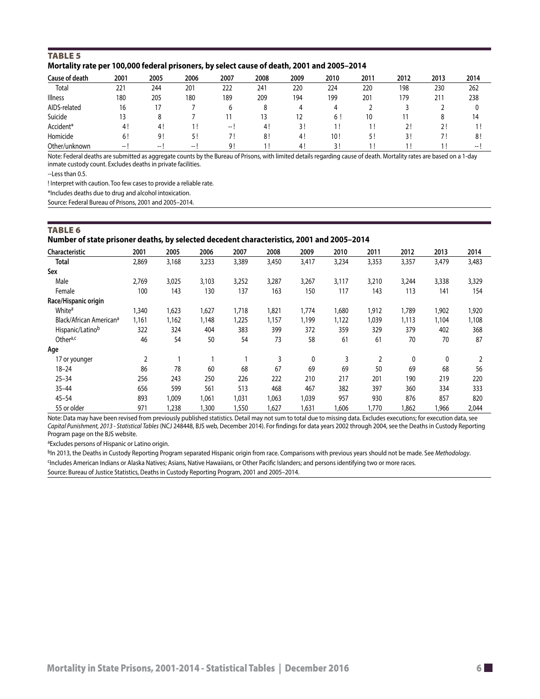# <span id="page-5-0"></span>TABLE<sub>5</sub> **Mortality rate per 100,000 federal prisoners, by select cause of death, 2001 and 2005–2014**

| Cause of death | 2001   | 2005 | 2006  | 2007  | 2008 | 2009 | 2010 | 2011 | 2012 | 2013       | 2014                     |
|----------------|--------|------|-------|-------|------|------|------|------|------|------------|--------------------------|
| Total          | 221    | 244  | 201   | 222   | 241  | 220  | 224  | 220  | 198  | 230        | 262                      |
| <b>Illness</b> | 180    | 205  | 180   | 189   | 209  | 194  | 199  | 201  | 179  | 211        | 238                      |
| AIDS-related   | 16     |      |       | b     |      | 4    | 4    |      |      |            | 0                        |
| Suicide        |        |      |       |       | 13   | 12   | 6!   | 10   |      |            | 14                       |
| Accident*      | 4!     | 4!   |       | $- -$ | 4!   | २।   |      |      |      | <u>. .</u> |                          |
| Homicide       | 6!     | 9!   |       |       | 8!   | -4!  | 10!  |      |      |            | 8 <sup>1</sup>           |
| Other/unknown  | $--$ 1 | -- 1 | $- -$ | 9!    |      | 4!   | 3!   |      |      |            | $\overline{\phantom{a}}$ |

Note: Federal deaths are submitted as aggregate counts by the Bureau of Prisons, with limited details regarding cause of death. Mortality rates are based on a 1-day inmate custody count. Excludes deaths in private facilities.

--Less than 0.5.

! Interpret with caution. Too few cases to provide a reliable rate.

\*Includes deaths due to drug and alcohol intoxication.

Source: Federal Bureau of Prisons, 2001 and 2005–2014.

# TABLE<sub>6</sub>

**Number of state prisoner deaths, by selected decedent characteristics, 2001 and 2005–2014**

| <b>Characteristic</b>               | 2001  | 2005  | 2006  | 2007  | 2008  | 2009  | 2010  | 2011  | 2012  | 2013  | 2014  |
|-------------------------------------|-------|-------|-------|-------|-------|-------|-------|-------|-------|-------|-------|
| <b>Total</b>                        | 2,869 | 3,168 | 3,233 | 3,389 | 3,450 | 3,417 | 3,234 | 3,353 | 3,357 | 3,479 | 3,483 |
| Sex                                 |       |       |       |       |       |       |       |       |       |       |       |
| Male                                | 2,769 | 3,025 | 3,103 | 3,252 | 3,287 | 3,267 | 3,117 | 3,210 | 3,244 | 3,338 | 3,329 |
| Female                              | 100   | 143   | 130   | 137   | 163   | 150   | 117   | 143   | 113   | 141   | 154   |
| Race/Hispanic origin                |       |       |       |       |       |       |       |       |       |       |       |
| White <sup>a</sup>                  | 1,340 | ,623  | 1,627 | 1,718 | 1,821 | 1,774 | 1,680 | 1,912 | 1,789 | 1,902 | 1,920 |
| Black/African American <sup>a</sup> | 1,161 | 1,162 | 1,148 | 1,225 | 1,157 | 1,199 | 1,122 | 1,039 | 1,113 | 1,104 | 1,108 |
| Hispanic/Latinob                    | 322   | 324   | 404   | 383   | 399   | 372   | 359   | 329   | 379   | 402   | 368   |
| Othera,c                            | 46    | 54    | 50    | 54    | 73    | 58    | 61    | 61    | 70    | 70    | 87    |
| Age                                 |       |       |       |       |       |       |       |       |       |       |       |
| 17 or younger                       | 2     |       |       |       | 3     | 0     | 3     | 2     | 0     | 0     |       |
| $18 - 24$                           | 86    | 78    | 60    | 68    | 67    | 69    | 69    | 50    | 69    | 68    | 56    |
| $25 - 34$                           | 256   | 243   | 250   | 226   | 222   | 210   | 217   | 201   | 190   | 219   | 220   |
| $35 - 44$                           | 656   | 599   | 561   | 513   | 468   | 467   | 382   | 397   | 360   | 334   | 333   |
| $45 - 54$                           | 893   | 1.009 | 1.061 | 1,031 | 1.063 | 1,039 | 957   | 930   | 876   | 857   | 820   |
| 55 or older                         | 971   | 1,238 | 1,300 | 1,550 | 1,627 | 1,631 | 1,606 | ,770  | 1,862 | 1,966 | 2,044 |

Note: Data may have been revised from previously published statistics. Detail may not sum to total due to missing data. Excludes executions; for execution data, see *Capital Punishment, 2013 - Statistical Tables* (NCJ 248448, BJS web, December 2014). For findings for data years 2002 through 2004, see the Deaths in Custody Reporting Program page on the BJS website.

aExcludes persons of Hispanic or Latino origin.

b<sub>In</sub> 2013, the Deaths in Custody Reporting Program separated Hispanic origin from race. Comparisons with previous years should not be made. See *Methodology*.

cIncludes American Indians or Alaska Natives; Asians, Native Hawaiians, or Other Pacific Islanders; and persons identifying two or more races.

Source: Bureau of Justice Statistics, Deaths in Custody Reporting Program, 2001 and 2005–2014.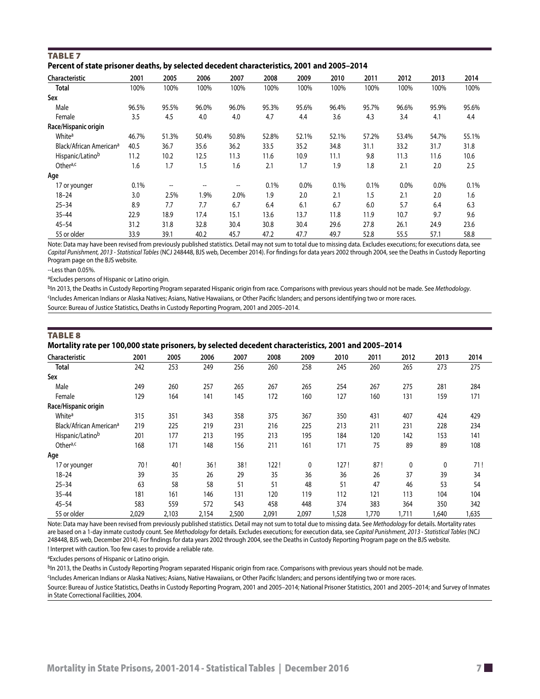<span id="page-6-0"></span>

| <b>TABLE 7</b>                                                                             |  |
|--------------------------------------------------------------------------------------------|--|
| Percent of state prisoner deaths, by selected decedent characteristics, 2001 and 2005-2014 |  |

| <b>Characteristic</b>               | 2001  | 2005                     | 2006  | 2007  | 2008  | 2009    | 2010  | 2011  | 2012  | 2013  | 2014  |
|-------------------------------------|-------|--------------------------|-------|-------|-------|---------|-------|-------|-------|-------|-------|
| Total                               | 100%  | 100%                     | 100%  | 100%  | 100%  | 100%    | 100%  | 100%  | 100%  | 100%  | 100%  |
| Sex                                 |       |                          |       |       |       |         |       |       |       |       |       |
| Male                                | 96.5% | 95.5%                    | 96.0% | 96.0% | 95.3% | 95.6%   | 96.4% | 95.7% | 96.6% | 95.9% | 95.6% |
| Female                              | 3.5   | 4.5                      | 4.0   | 4.0   | 4.7   | 4.4     | 3.6   | 4.3   | 3.4   | 4.1   | 4.4   |
| Race/Hispanic origin                |       |                          |       |       |       |         |       |       |       |       |       |
| White <sup>a</sup>                  | 46.7% | 51.3%                    | 50.4% | 50.8% | 52.8% | 52.1%   | 52.1% | 57.2% | 53.4% | 54.7% | 55.1% |
| Black/African American <sup>a</sup> | 40.5  | 36.7                     | 35.6  | 36.2  | 33.5  | 35.2    | 34.8  | 31.1  | 33.2  | 31.7  | 31.8  |
| Hispanic/Latinob                    | 11.2  | 10.2                     | 12.5  | 11.3  | 11.6  | 10.9    | 11.1  | 9.8   | 11.3  | 11.6  | 10.6  |
| Othera,c                            | 1.6   | 1.7                      | 1.5   | 1.6   | 2.1   | 1.7     | 1.9   | 1.8   | 2.1   | 2.0   | 2.5   |
| Age                                 |       |                          |       |       |       |         |       |       |       |       |       |
| 17 or younger                       | 0.1%  | $\overline{\phantom{a}}$ | --    | --    | 0.1%  | $0.0\%$ | 0.1%  | 0.1%  | 0.0%  | 0.0%  | 0.1%  |
| $18 - 24$                           | 3.0   | 2.5%                     | 1.9%  | 2.0%  | 1.9   | 2.0     | 2.1   | 1.5   | 2.1   | 2.0   | 1.6   |
| $25 - 34$                           | 8.9   | 7.7                      | 7.7   | 6.7   | 6.4   | 6.1     | 6.7   | 6.0   | 5.7   | 6.4   | 6.3   |
| $35 - 44$                           | 22.9  | 18.9                     | 17.4  | 15.1  | 13.6  | 13.7    | 11.8  | 11.9  | 10.7  | 9.7   | 9.6   |
| $45 - 54$                           | 31.2  | 31.8                     | 32.8  | 30.4  | 30.8  | 30.4    | 29.6  | 27.8  | 26.1  | 24.9  | 23.6  |
| 55 or older                         | 33.9  | 39.1                     | 40.2  | 45.7  | 47.2  | 47.7    | 49.7  | 52.8  | 55.5  | 57.1  | 58.8  |

Note: Data may have been revised from previously published statistics. Detail may not sum to total due to missing data. Excludes executions; for executions data, see *Capital Punishment, 2013 - Statistical Tables* (NCJ 248448, BJS web, December 2014). For findings for data years 2002 through 2004, see the Deaths in Custody Reporting Program page on the BJS website.

--Less than 0.05%.

aExcludes persons of Hispanic or Latino origin.

<sup>b</sup>In 2013, the Deaths in Custody Reporting Program separated Hispanic origin from race. Comparisons with previous years should not be made. See *Methodology*. cIncludes American Indians or Alaska Natives; Asians, Native Hawaiians, or Other Pacific Islanders; and persons identifying two or more races.

Source: Bureau of Justice Statistics, Deaths in Custody Reporting Program, 2001 and 2005–2014.

| <b>TABLE 8</b><br>Mortality rate per 100,000 state prisoners, by selected decedent characteristics, 2001 and 2005–2014 |      |      |      |      |      |      |      |      |      |      |      |
|------------------------------------------------------------------------------------------------------------------------|------|------|------|------|------|------|------|------|------|------|------|
| Characteristic                                                                                                         | 2001 | 2005 | 2006 | 2007 | 2008 | 2009 | 2010 | 2011 | 2012 | 2013 | 2014 |
| Total                                                                                                                  | 242  | 253  | 249  | 256  | 260  | 258  | 245  | 260  | 265  | 273  | 275  |

| <b>Total</b>                        | 242   | 253   | 249   | 256   | 260   | 258   | 245  | 260  | 265   | 273          | 275   |
|-------------------------------------|-------|-------|-------|-------|-------|-------|------|------|-------|--------------|-------|
| Sex                                 |       |       |       |       |       |       |      |      |       |              |       |
| Male                                | 249   | 260   | 257   | 265   | 267   | 265   | 254  | 267  | 275   | 281          | 284   |
| Female                              | 129   | 164   | 141   | 145   | 172   | 160   | 127  | 160  | 131   | 159          | 171   |
| Race/Hispanic origin                |       |       |       |       |       |       |      |      |       |              |       |
| White <sup>a</sup>                  | 315   | 351   | 343   | 358   | 375   | 367   | 350  | 431  | 407   | 424          | 429   |
| Black/African American <sup>a</sup> | 219   | 225   | 219   | 231   | 216   | 225   | 213  | 211  | 231   | 228          | 234   |
| Hispanic/Latinob                    | 201   | 177   | 213   | 195   | 213   | 195   | 184  | 120  | 142   | 153          | 141   |
| Othera,c                            | 168   | 171   | 148   | 156   | 211   | 161   | 171  | 75   | 89    | 89           | 108   |
| Age                                 |       |       |       |       |       |       |      |      |       |              |       |
| 17 or younger                       | 70!   | 40!   | 36!   | 38!   | 122!  | 0     | 127! | 87!  | 0     | $\mathbf{0}$ | 71!   |
| $18 - 24$                           | 39    | 35    | 26    | 29    | 35    | 36    | 36   | 26   | 37    | 39           | 34    |
| $25 - 34$                           | 63    | 58    | 58    | 51    | 51    | 48    | 51   | 47   | 46    | 53           | 54    |
| $35 - 44$                           | 181   | 161   | 146   | 131   | 120   | 119   | 112  | 121  | 113   | 104          | 104   |
| $45 - 54$                           | 583   | 559   | 572   | 543   | 458   | 448   | 374  | 383  | 364   | 350          | 342   |
| 55 or older                         | 2,029 | 2,103 | 2,154 | 2,500 | 2,091 | 2,097 | ,528 | ,770 | 1,711 | 1,640        | 1,635 |

Note: Data may have been revised from previously published statistics. Detail may not sum to total due to missing data. See *Methodology* for details. Mortality rates are based on a 1-day inmate custody count. See *Methodology* for details. Excludes executions; for execution data, see *Capital Punishment, 2013 - Statistical Tables* (NCJ 248448, BJS web, December 2014). For findings for data years 2002 through 2004, see the Deaths in Custody Reporting Program page on the BJS website. ! Interpret with caution. Too few cases to provide a reliable rate.

aExcludes persons of Hispanic or Latino origin.

bIn 2013, the Deaths in Custody Reporting Program separated Hispanic origin from race. Comparisons with previous years should not be made.

cIncludes American Indians or Alaska Natives; Asians, Native Hawaiians, or Other Pacific Islanders; and persons identifying two or more races.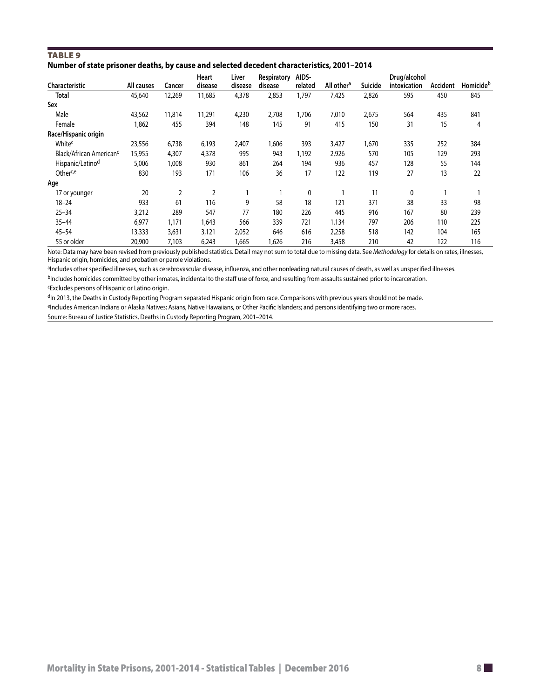<span id="page-7-0"></span>

| <b>TABLE 9</b> |                                                                                            |  |
|----------------|--------------------------------------------------------------------------------------------|--|
|                | Number of state prisoner deaths, by cause and selected decedent characteristics, 2001-2014 |  |

|                                     |            |        | Heart   | Liver   | Respiratory | AIDS-   |                        |         | Drug/alcohol |          |           |
|-------------------------------------|------------|--------|---------|---------|-------------|---------|------------------------|---------|--------------|----------|-----------|
| Characteristic                      | All causes | Cancer | disease | disease | disease     | related | All other <sup>a</sup> | Suicide | intoxication | Accident | Homicideb |
| Total                               | 45,640     | 12,269 | 11,685  | 4,378   | 2,853       | 1,797   | 7,425                  | 2,826   | 595          | 450      | 845       |
| Sex                                 |            |        |         |         |             |         |                        |         |              |          |           |
| Male                                | 43,562     | 11,814 | 11,291  | 4,230   | 2,708       | 1,706   | 7,010                  | 2,675   | 564          | 435      | 841       |
| Female                              | 1,862      | 455    | 394     | 148     | 145         | 91      | 415                    | 150     | 31           | 15       | 4         |
| Race/Hispanic origin                |            |        |         |         |             |         |                        |         |              |          |           |
| Whitec                              | 23,556     | 6,738  | 6,193   | 2,407   | 1,606       | 393     | 3,427                  | 1,670   | 335          | 252      | 384       |
| Black/African American <sup>c</sup> | 15,955     | 4,307  | 4,378   | 995     | 943         | 1,192   | 2,926                  | 570     | 105          | 129      | 293       |
| Hispanic/Latino <sup>d</sup>        | 5,006      | 1,008  | 930     | 861     | 264         | 194     | 936                    | 457     | 128          | 55       | 144       |
| Otherc,e                            | 830        | 193    | 171     | 106     | 36          | 17      | 122                    | 119     | 27           | 13       | 22        |
| Age                                 |            |        |         |         |             |         |                        |         |              |          |           |
| 17 or younger                       | 20         | 2      | 2       |         |             | 0       |                        | 11      | 0            |          |           |
| $18 - 24$                           | 933        | 61     | 116     | 9       | 58          | 18      | 121                    | 371     | 38           | 33       | 98        |
| $25 - 34$                           | 3,212      | 289    | 547     | 77      | 180         | 226     | 445                    | 916     | 167          | 80       | 239       |
| $35 - 44$                           | 6,977      | 1,171  | 1,643   | 566     | 339         | 721     | 1,134                  | 797     | 206          | 110      | 225       |
| $45 - 54$                           | 13,333     | 3,631  | 3,121   | 2,052   | 646         | 616     | 2,258                  | 518     | 142          | 104      | 165       |
| 55 or older                         | 20,900     | 7,103  | 6,243   | 1,665   | ,626        | 216     | 3,458                  | 210     | 42           | 122      | 116       |

Note: Data may have been revised from previously published statistics. Detail may not sum to total due to missing data. See *Methodology* for details on rates, illnesses, Hispanic origin, homicides, and probation or parole violations.

aIncludes other specified illnesses, such as cerebrovascular disease, influenza, and other nonleading natural causes of death, as well as unspecified illnesses.

bIncludes homicides committed by other inmates, incidental to the staff use of force, and resulting from assaults sustained prior to incarceration. cExcludes persons of Hispanic or Latino origin.

dIn 2013, the Deaths in Custody Reporting Program separated Hispanic origin from race. Comparisons with previous years should not be made.

eIncludes American Indians or Alaska Natives; Asians, Native Hawaiians, or Other Pacific Islanders; and persons identifying two or more races.

Source: Bureau of Justice Statistics, Deaths in Custody Reporting Program, 2001–2014.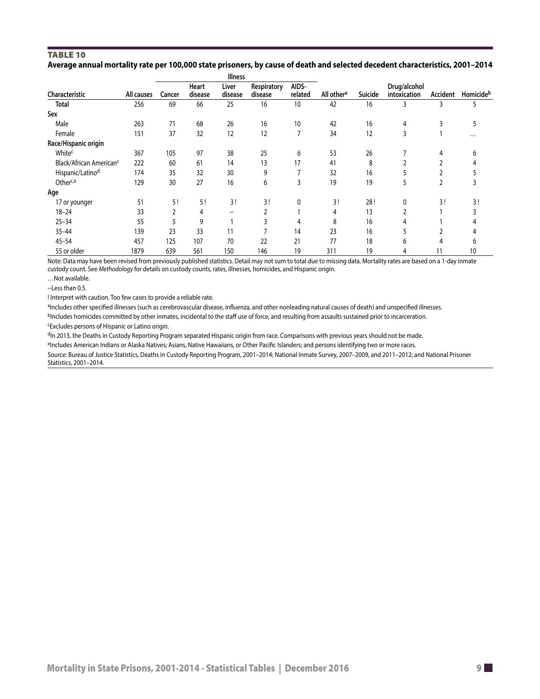#### <span id="page-8-0"></span>Table 10 **Average annual mortality rate per 100,000 state prisoners, by cause of death and selected decedent characteristics, 2001–2014**

|                                     |            | <b>Illness</b> |                  |                          |                        |                  |                        |         |                              |          |           |
|-------------------------------------|------------|----------------|------------------|--------------------------|------------------------|------------------|------------------------|---------|------------------------------|----------|-----------|
| Characteristic                      | All causes | Cancer         | Heart<br>disease | Liver<br>disease         | Respiratory<br>disease | AIDS-<br>related | All other <sup>a</sup> | Suicide | Drug/alcohol<br>intoxication | Accident | Homicideb |
| Total                               | 256        | 69             | 66               | 25                       | 16                     | 10               | 42                     | 16      | 3                            | 3        | 5         |
| Sex                                 |            |                |                  |                          |                        |                  |                        |         |                              |          |           |
| Male                                | 263        | 71             | 68               | 26                       | 16                     | 10               | 42                     | 16      | 4                            | 3        |           |
| Female                              | 151        | 37             | 32               | 12                       | 12                     | 7                | 34                     | 12      | 3                            |          | $\cdots$  |
| Race/Hispanic origin                |            |                |                  |                          |                        |                  |                        |         |                              |          |           |
| Whitec                              | 367        | 105            | 97               | 38                       | 25                     | 6                | 53                     | 26      |                              | 4        | 6         |
| Black/African American <sup>c</sup> | 222        | 60             | 61               | 14                       | 13                     | 17               | 41                     | 8       |                              |          |           |
| Hispanic/Latino <sup>d</sup>        | 174        | 35             | 32               | 30                       | 9                      |                  | 32                     | 16      |                              |          |           |
| Otherc,e                            | 129        | 30             | 27               | 16                       | 6                      | 3                | 19                     | 19      | 5                            | 2        |           |
| Age                                 |            |                |                  |                          |                        |                  |                        |         |                              |          |           |
| 17 or younger                       | 51         | 5!             | 5!               | 3!                       | 3!                     | $\mathbf{0}$     | 3!                     | 28!     | 0                            | 3!       | 3!        |
| $18 - 24$                           | 33         | 2              | 4                | $\hspace{0.05cm} \ldots$ |                        |                  | 4                      | 13      | 2                            |          |           |
| $25 - 34$                           | 55         | 5              | 9                |                          | 3                      | 4                | 8                      | 16      |                              |          |           |
| $35 - 44$                           | 139        | 23             | 33               | 11                       |                        | 14               | 23                     | 16      |                              |          |           |
| $45 - 54$                           | 457        | 125            | 107              | 70                       | 22                     | 21               | 77                     | 18      | 6                            | 4        |           |
| 55 or older                         | 1879       | 639            | 561              | 150                      | 146                    | 19               | 311                    | 19      | 4                            | 11       | 10        |

Note: Data may have been revised from previously published statistics. Detail may not sum to total due to missing data. Mortality rates are based on a 1-day inmate custody count. See *Methodology* for details on custody counts, rates, illnesses, homicides, and Hispanic origin.

…Not available.

--Less than 0.5.

! Interpret with caution. Too few cases to provide a reliable rate.

aIncludes other specified illnesses (such as cerebrovascular disease, influenza, and other nonleading natural causes of death) and unspecified illnesses. bIncludes homicides committed by other inmates, incidental to the staff use of force, and resulting from assaults sustained prior to incarceration.

cExcludes persons of Hispanic or Latino origin.

dIn 2013, the Deaths in Custody Reporting Program separated Hispanic origin from race. Comparisons with previous years should not be made.

eIncludes American Indians or Alaska Natives; Asians, Native Hawaiians, or Other Pacific Islanders; and persons identifying two or more races.

Source: Bureau of Justice Statistics, Deaths in Custody Reporting Program, 2001–2014; National Inmate Survey, 2007–2009, and 2011–2012; and National Prisoner Statistics, 2001–2014.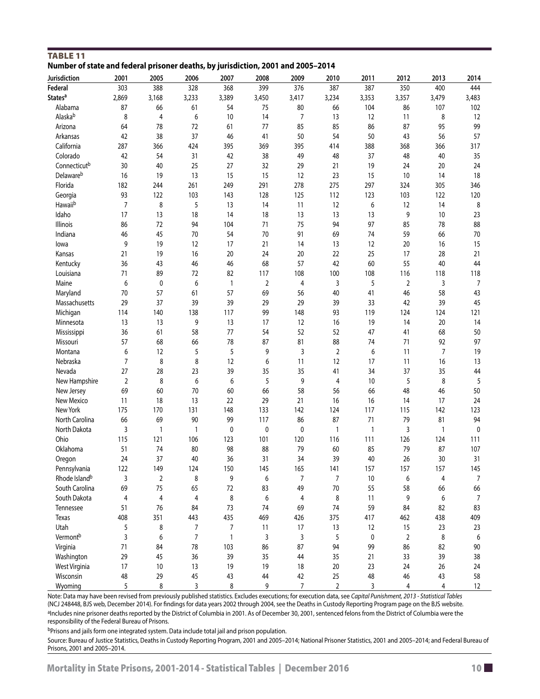<span id="page-9-0"></span>

| <b>TABLE 11</b><br>Number of state and federal prisoner deaths, by jurisdiction, 2001 and 2005-2014 |      |      |      |      |      |      |             |  |
|-----------------------------------------------------------------------------------------------------|------|------|------|------|------|------|-------------|--|
| Iurisdiction                                                                                        | 2001 | つののち | 2006 | 2007 | ንሰሰՋ | 7009 | <b>2010</b> |  |

| Jurisdiction              | 2001           | 2005                    | 2006         | 2007         | 2008        | 2009           | 2010           | 2011           | 2012           | 2013  | 2014  |
|---------------------------|----------------|-------------------------|--------------|--------------|-------------|----------------|----------------|----------------|----------------|-------|-------|
| Federal                   | 303            | 388                     | 328          | 368          | 399         | 376            | 387            | 387            | 350            | 400   | 444   |
| States <sup>a</sup>       | 2,869          | 3,168                   | 3,233        | 3,389        | 3,450       | 3,417          | 3,234          | 3,353          | 3,357          | 3,479 | 3,483 |
| Alabama                   | 87             | 66                      | 61           | 54           | 75          | 80             | 66             | 104            | 86             | 107   | 102   |
| Alaskab                   | 8              | 4                       | 6            | 10           | 14          | 7              | 13             | 12             | 11             | 8     | 12    |
| Arizona                   | 64             | 78                      | 72           | 61           | 77          | 85             | 85             | 86             | 87             | 95    | 99    |
| Arkansas                  | 42             | 38                      | 37           | 46           | 41          | 50             | 54             | 50             | 43             | 56    | 57    |
| California                | 287            | 366                     | 424          | 395          | 369         | 395            | 414            | 388            | 368            | 366   | 317   |
| Colorado                  | 42             | 54                      | 31           | 42           | 38          | 49             | 48             | 37             | 48             | 40    | 35    |
| Connecticutb              | 30             | 40                      | 25           | 27           | 32          | 29             | 21             | 19             | 24             | 20    | 24    |
| Delawareb                 | 16             | 19                      | 13           | 15           | 15          | 12             | 23             | 15             | 10             | 14    | 18    |
| Florida                   | 182            | 244                     | 261          | 249          | 291         | 278            | 275            | 297            | 324            | 305   | 346   |
| Georgia                   | 93             | 122                     | 103          | 143          | 128         | 125            | 112            | 123            | 103            | 122   | 120   |
| Hawaiib                   | $\overline{7}$ | 8                       | 5            | 13           | 14          | 11             | 12             | 6              | 12             | 14    | 8     |
| Idaho                     | 17             | 13                      | 18           | 14           | 18          | 13             | 13             | 13             | 9              | 10    | 23    |
| Illinois                  | 86             | 72                      | 94           |              | 71          | 75             | 94             | 97             | 85             | 78    | 88    |
| Indiana                   | 46             | 45                      | 70           | 104<br>54    | 70          | 91             | 69             | 74             | 59             | 66    | 70    |
|                           |                |                         |              |              |             |                |                |                |                |       |       |
| lowa                      | 9              | 19                      | 12           | 17           | 21          | 14             | 13             | 12             | $20\,$         | 16    | 15    |
| Kansas                    | 21             | 19                      | 16           | 20           | 24          | $20\,$         | 22             | 25             | 17             | 28    | 21    |
| Kentucky                  | 36             | 43                      | 46           | 46           | 68          | 57             | 42             | 60             | 55             | 40    | 44    |
| Louisiana                 | 71             | 89                      | 72           | 82           | 117         | 108            | 100            | 108            | 116            | 118   | 118   |
| Maine                     | 6              | 0                       | 6            | $\mathbf{1}$ | 2           | 4              | 3              | 5              | $\overline{2}$ | 3     | 7     |
| Maryland                  | 70             | 57                      | 61           | 57           | 69          | 56             | 40             | 41             | 46             | 58    | 43    |
| Massachusetts             | 29             | 37                      | 39           | 39           | 29          | 29             | 39             | 33             | 42             | 39    | 45    |
| Michigan                  | 114            | 140                     | 138          | 117          | 99          | 148            | 93             | 119            | 124            | 124   | 121   |
| Minnesota                 | 13             | 13                      | 9            | 13           | 17          | 12             | 16             | 19             | 14             | 20    | 14    |
| Mississippi               | 36             | 61                      | 58           | 77           | 54          | 52             | 52             | 47             | 41             | 68    | 50    |
| Missouri                  | 57             | 68                      | 66           | 78           | 87          | 81             | 88             | 74             | 71             | 92    | 97    |
| Montana                   | 6              | 12                      | 5            | 5            | 9           | 3              | 2              | 6              | 11             | 7     | 19    |
| Nebraska                  | $\overline{7}$ | 8                       | 8            | 12           | 6           | 11             | 12             | 17             | 11             | 16    | 13    |
| Nevada                    | 27             | 28                      | 23           | 39           | 35          | 35             | 41             | 34             | 37             | 35    | 44    |
| New Hampshire             | $\overline{2}$ | 8                       | 6            | 6            | 5           | 9              | 4              | 10             | 5              | 8     | 5     |
| New Jersey                | 69             | 60                      | 70           | 60           | 66          | 58             | 56             | 66             | 48             | 46    | 50    |
| New Mexico                | 11             | 18                      | 13           | 22           | 29          | 21             | 16             | 16             | 14             | 17    | 24    |
| New York                  | 175            | 170                     | 131          | 148          | 133         | 142            | 124            | 117            | 115            | 142   | 123   |
| North Carolina            | 66             | 69                      | 90           | 99           | 117         | 86             | 87             | 71             | 79             | 81    | 94    |
| North Dakota              | 3              | $\mathbf{1}$            | $\mathbf{1}$ | 0            | $\mathbf 0$ | 0              | 1              | $\overline{1}$ | 3              | 1     | 0     |
| Ohio                      | 115            | 121                     | 106          | 123          | 101         | 120            | 116            | 111            | 126            | 124   | 111   |
| Oklahoma                  | 51             | 74                      | 80           | 98           | 88          | 79             | 60             | 85             | 79             | 87    | 107   |
| Oregon                    | 24             | 37                      | 40           | 36           | 31          | 34             | 39             | 40             | 26             | 30    | 31    |
| Pennsylvania              | 122            | 149                     | 124          | 150          | 145         | 165            | 141            | 157            | 157            | 157   | 145   |
| Rhode Island <sup>b</sup> | 3              | $\overline{\mathbf{c}}$ | 8            | 9            | 6           | 7              | 7              | 10             | 6              | 4     | 7     |
| South Carolina            | 69             | 75                      | 65           | 72           | 83          | 49             | 70             | 55             | 58             | 66    | 66    |
| South Dakota              | 4              | 4                       | 4            | 8            | 6           | 4              | 8              | 11             | 9              | 6     | 7     |
| Tennessee                 | 51             | 76                      | 84           | 73           | 74          | 69             | 74             | 59             | 84             | 82    | 83    |
| Texas                     | 408            | 351                     | 443          | 435          | 469         | 426            | 375            | 417            | 462            | 438   | 409   |
| Utah                      | 5              | 8                       | 7            | 7            | 11          | 17             | 13             | 12             | 15             | 23    | 23    |
| Vermont <sup>b</sup>      | 3              | 6                       | 7            | 1            | 3           | 3              | 5              | 0              | $\overline{2}$ | 8     | 6     |
| Virginia                  | 71             | 84                      | 78           | 103          | 86          | 87             | 94             | 99             | 86             | 82    | 90    |
| Washington                | 29             | 45                      | 36           | 39           | 35          | 44             | 35             | 21             | 33             | 39    | 38    |
| West Virginia             | 17             | 10                      | 13           | 19           | 19          | 18             | 20             | 23             | 24             | 26    | 24    |
| Wisconsin                 | 48             | 29                      | 45           | 43           | 44          | 42             | 25             | 48             | 46             | 43    | 58    |
| Wyoming                   | 5              | 8                       | 3            | 8            | 9           | $\overline{7}$ | $\overline{2}$ | 3              | 4              | 4     | 12    |
|                           |                |                         |              |              |             |                |                |                |                |       |       |

Note: Data may have been revised from previously published statistics. Excludes executions; for execution data, see *Capital Punishment, 2013 - Statistical Tables* (NCJ 248448, BJS web, December 2014). For findings for data years 2002 through 2004, see the Deaths in Custody Reporting Program page on the BJS website. aIncludes nine prisoner deaths reported by the District of Columbia in 2001. As of December 30, 2001, sentenced felons from the District of Columbia were the responsibility of the Federal Bureau of Prisons.

bPrisons and jails form one integrated system. Data include total jail and prison population.

Source: Bureau of Justice Statistics, Deaths in Custody Reporting Program, 2001 and 2005–2014; National Prisoner Statistics, 2001 and 2005–2014; and Federal Bureau of Prisons, 2001 and 2005–2014.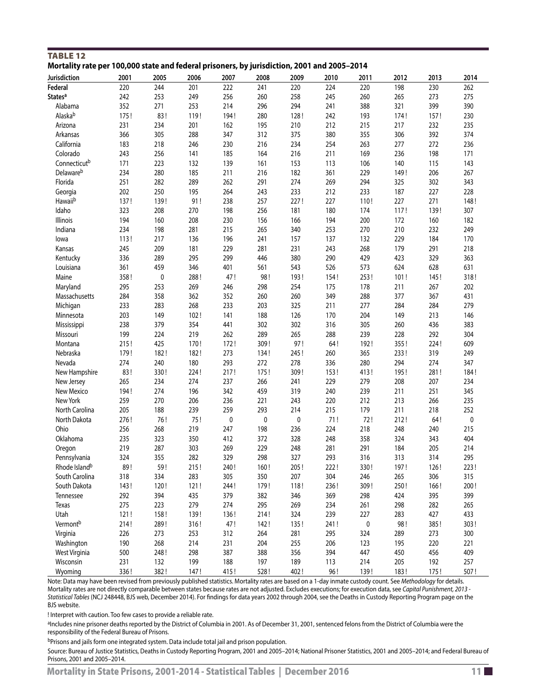| Mortality rate per 100,000 state and federal prisoners, by jurisdiction, 2001 and 2005–2014<br>Jurisdiction | 2001 | 2005      | 2006 | 2007      | 2008      | 2009      | 2010 | 2011      | 2012 | 2013 | 2014      |
|-------------------------------------------------------------------------------------------------------------|------|-----------|------|-----------|-----------|-----------|------|-----------|------|------|-----------|
| Federal                                                                                                     | 220  | 244       | 201  | 222       | 241       | 220       | 224  | 220       | 198  | 230  | 262       |
| <b>States<sup>a</sup></b>                                                                                   | 242  | 253       | 249  | 256       | 260       | 258       | 245  | 260       | 265  | 273  | 275       |
| Alabama                                                                                                     | 352  | 271       | 253  | 214       | 296       | 294       | 241  | 388       | 321  | 399  | 390       |
| Alaskab                                                                                                     | 175! | 83!       | 119! | 194!      | 280       | 128!      | 242  | 193       | 174! | 157! | 230       |
| Arizona                                                                                                     | 231  | 234       | 201  | 162       | 195       | 210       | 212  | 215       | 217  | 232  | 235       |
| Arkansas                                                                                                    | 366  | 305       | 288  | 347       | 312       | 375       | 380  | 355       | 306  | 392  | 374       |
| California                                                                                                  | 183  | 218       | 246  | 230       | 216       | 234       | 254  | 263       | 277  | 272  | 236       |
| Colorado                                                                                                    | 243  | 256       | 141  | 185       | 164       | 216       | 211  | 169       | 236  | 198  | 171       |
| Connecticutb                                                                                                | 171  | 223       |      | 139       |           | 153       |      | 106       | 140  | 115  | 143       |
|                                                                                                             |      |           | 132  |           | 161       |           | 113  |           |      |      |           |
| Delawareb                                                                                                   | 234  | 280       | 185  | 211       | 216       | 182       | 361  | 229       | 149! | 206  | 267       |
| Florida                                                                                                     | 251  | 282       | 289  | 262       | 291       | 274       | 269  | 294       | 325  | 302  | 343       |
| Georgia                                                                                                     | 202  | 250       | 195  | 264       | 243       | 233       | 212  | 233       | 187  | 227  | 228       |
| Hawaiib                                                                                                     | 137! | 139!      | 91!  | 238       | 257       | 227!      | 227  | 110!      | 227  | 271  | 148!      |
| Idaho                                                                                                       | 323  | 208       | 270  | 198       | 256       | 181       | 180  | 174       | 117! | 139! | 307       |
| Illinois                                                                                                    | 194  | 160       | 208  | 230       | 156       | 166       | 194  | 200       | 172  | 160  | 182       |
| Indiana                                                                                                     | 234  | 198       | 281  | 215       | 265       | 340       | 253  | 270       | 210  | 232  | 249       |
| lowa                                                                                                        | 113! | 217       | 136  | 196       | 241       | 157       | 137  | 132       | 229  | 184  | 170       |
| Kansas                                                                                                      | 245  | 209       | 181  | 229       | 281       | 231       | 243  | 268       | 179  | 291  | 218       |
| Kentucky                                                                                                    | 336  | 289       | 295  | 299       | 446       | 380       | 290  | 429       | 423  | 329  | 363       |
| Louisiana                                                                                                   | 361  | 459       | 346  | 401       | 561       | 543       | 526  | 573       | 624  | 628  | 631       |
| Maine                                                                                                       | 358! | $\pmb{0}$ | 288! | 47!       | 98!       | 193!      | 154! | 253!      | 101! | 145! | 318!      |
| Maryland                                                                                                    | 295  | 253       | 269  | 246       | 298       | 254       | 175  | 178       | 211  | 267  | 202       |
| Massachusetts                                                                                               | 284  | 358       | 362  | 352       | 260       | 260       | 349  | 288       | 377  | 367  | 431       |
| Michigan                                                                                                    | 233  | 283       | 268  | 233       | 203       | 325       | 211  | 277       | 284  | 284  | 279       |
| Minnesota                                                                                                   | 203  | 149       | 102! | 141       | 188       | 126       | 170  | 204       | 149  | 213  | 146       |
| Mississippi                                                                                                 | 238  | 379       | 354  | 441       | 302       | 302       | 316  | 305       | 260  | 436  | 383       |
| Missouri                                                                                                    | 199  | 224       | 219  | 262       | 289       | 265       | 288  | 239       | 228  | 292  | 304       |
| Montana                                                                                                     | 215! | 425       | 170! | 172!      | 309!      | 97!       | 64!  | 192!      | 355! | 224! | 609       |
| Nebraska                                                                                                    | 179! | 182!      | 182! | 273       | 134!      | 245!      | 260  | 365       | 233! | 319  | 249       |
| Nevada                                                                                                      | 274  | 240       | 180  | 293       | 272       | 278       | 336  | 280       | 294  | 274  | 347       |
| New Hampshire                                                                                               | 83!  | 330!      | 224! | 217!      | 175!      | 309!      | 153! | 413!      | 195! | 281! | 184!      |
| New Jersey                                                                                                  | 265  | 234       | 274  | 237       | 266       | 241       | 229  | 279       | 208  | 207  | 234       |
| New Mexico                                                                                                  | 194! | 274       | 196  | 342       | 459       | 319       | 240  | 239       | 211  | 251  | 345       |
| New York                                                                                                    | 259  | 270       | 206  | 236       | 221       | 243       | 220  | 212       | 213  | 266  | 235       |
| North Carolina                                                                                              | 205  | 188       | 239  | 259       | 293       | 214       | 215  | 179       | 211  | 218  | 252       |
| North Dakota                                                                                                | 276! | 76!       | 75!  | $\pmb{0}$ | $\pmb{0}$ | $\pmb{0}$ | 71!  | 72!       | 212! | 64!  | $\pmb{0}$ |
| Ohio                                                                                                        | 256  | 268       | 219  | 247       | 198       | 236       | 224  | 218       | 248  | 240  | 215       |
| Oklahoma                                                                                                    | 235  | 323       | 350  | 412       | 372       | 328       | 248  | 358       | 324  | 343  | 404       |
| Oregon                                                                                                      | 219  | 287       | 303  | 269       | 229       | 248       | 281  | 291       | 184  | 205  | 214       |
| Pennsylvania                                                                                                | 324  | 355       | 282  | 329       | 298       | 327       | 293  | 316       | 313  | 314  | 295       |
| Rhode Island <sup>b</sup>                                                                                   | 89!  | 59!       | 215! | 240!      | 160!      | 205 !     | 222! | 330!      | 197! | 126! | 223!      |
| South Carolina                                                                                              | 318  | 334       | 283  | 305       | 350       | 207       | 304  | 246       | 265  | 306  | 315       |
| South Dakota                                                                                                | 143! | 120!      | 121! | 244!      | 179!      | 118!      | 236! | 309!      | 250! | 166! | 200!      |
| Tennessee                                                                                                   | 292  | 394       | 435  | 379       | 382       | 346       | 369  | 298       | 424  | 395  | 399       |
| Texas                                                                                                       | 275  | 223       | 279  | 274       | 295       | 269       | 234  | 261       | 298  | 282  | 265       |
| Utah                                                                                                        | 121! | 158!      | 139! | 136!      | 214!      | 324       | 239  | 227       | 283  | 427  | 433       |
| Vermont <sup>b</sup>                                                                                        | 214! | 289!      | 316! | 47!       | 142!      | 135!      | 241! | $\pmb{0}$ | 98!  | 385! | 303!      |
| Virginia                                                                                                    | 226  | 273       | 253  | 312       | 264       | 281       | 295  | 324       | 289  | 273  | 300       |
| Washington                                                                                                  | 190  | 268       | 214  | 231       | 204       | 255       | 206  | 123       | 195  | 220  | 221       |
| West Virginia                                                                                               | 500  | 248!      | 298  | 387       | 388       | 356       | 394  | 447       | 450  | 456  | 409       |
| Wisconsin                                                                                                   | 231  | 132       | 199  | 188       | 197       | 189       | 113  | 214       | 205  | 192  | 257       |
| Wyoming                                                                                                     | 336! | 382!      | 147! | 415!      | 528!      | 402!      | 96!  | 139!      | 183! | 175! | 507!      |

<span id="page-10-0"></span>TABLE 12 **Mortality rate per 100,000 state and federal prisoners, by jurisdiction, 2001 and 2005–2014**

Note: Data may have been revised from previously published statistics. Mortality rates are based on a 1-day inmate custody count. See *Methodology* for details. Mortality rates are not directly comparable between states because rates are not adjusted. Excludes executions; for execution data, see *Capital Punishment, 2013 - Statistical Tables* (NCJ 248448, BJS web, December 2014). For findings for data years 2002 through 2004, see the Deaths in Custody Reporting Program page on the BJS website.

! Interpret with caution. Too few cases to provide a reliable rate.

aIncludes nine prisoner deaths reported by the District of Columbia in 2001. As of December 31, 2001, sentenced felons from the District of Columbia were the responsibility of the Federal Bureau of Prisons.

bPrisons and jails form one integrated system. Data include total jail and prison population.

Source: Bureau of Justice Statistics, Deaths in Custody Reporting Program, 2001 and 2005–2014; National Prisoner Statistics, 2001 and 2005–2014; and Federal Bureau of Prisons, 2001 and 2005–2014.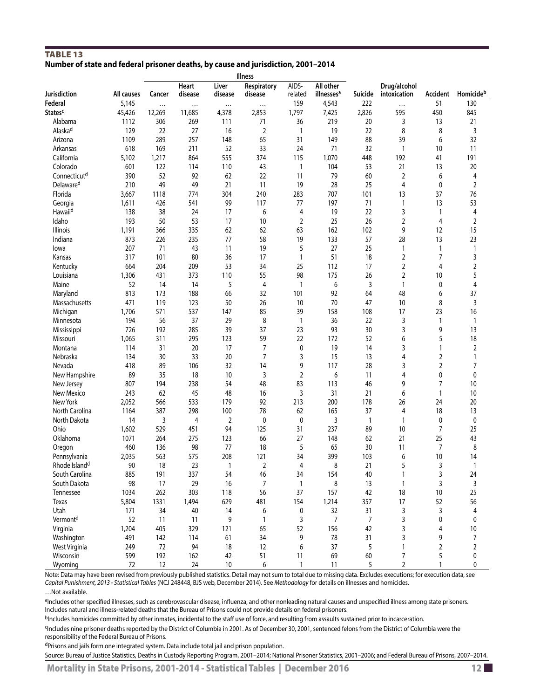# <span id="page-11-0"></span>Table 13 **Number of state and federal prisoner deaths, by cause and jurisdiction, 2001–2014**

|                           |            |          |                  |                  | <b>Illness</b>         |                  |                                     |                |                              |                |                |
|---------------------------|------------|----------|------------------|------------------|------------------------|------------------|-------------------------------------|----------------|------------------------------|----------------|----------------|
| Jurisdiction              | All causes | Cancer   | Heart<br>disease | Liver<br>disease | Respiratory<br>disease | AIDS-<br>related | All other<br>illnesses <sup>a</sup> | Suicide        | Drug/alcohol<br>intoxication | Accident       | Homicideb      |
| Federal                   | 5,145      | $\cdots$ |                  |                  | $\cdots$               | 159              | 4,543                               | 222            | $\cdots$                     | 51             | 130            |
| <b>States<sup>c</sup></b> | 45,426     | 12,269   | 11,685           | 4,378            | 2,853                  | 1,797            | 7,425                               | 2,826          | 595                          | 450            | 845            |
| Alabama                   | 1112       | 306      | 269              | 111              | 71                     | 36               | 219                                 | 20             | 3                            | 13             | 21             |
| Alaska <sup>d</sup>       | 129        | 22       | 27               | 16               | 2                      | 1                | 19                                  | 22             | 8                            | 8              | 3              |
| Arizona                   | 1109       | 289      | 257              | 148              | 65                     | 31               | 149                                 | 88             | 39                           | 6              | 32             |
| Arkansas                  | 618        | 169      | 211              | 52               | 33                     | 24               | 71                                  | 32             | $\mathbf{1}$                 | 10             | 11             |
| California                | 5,102      | 1,217    | 864              | 555              | 374                    | 115              | 1,070                               | 448            | 192                          | 41             | 191            |
| Colorado                  | 601        | 122      | 114              | 110              | 43                     | $\mathbf{1}$     | 104                                 | 53             | 21                           | 13             | 20             |
| Connecticut <sup>d</sup>  | 390        | 52       | 92               | 62               | 22                     | 11               | 79                                  | 60             | 2                            | 6              | 4              |
| Delaware <sup>d</sup>     | 210        | 49       | 49               | 21               | 11                     | 19               | 28                                  | 25             | 4                            | 0              | $\overline{2}$ |
| Florida                   | 3,667      | 1118     | 774              | 304              | 240                    | 283              | 707                                 | 101            | 13                           | 37             | 76             |
| Georgia                   | 1,611      | 426      | 541              | 99               | 117                    | 77               | 197                                 | 71             | $\mathbf{1}$                 | 13             | 53             |
| Hawaiid                   | 138        | 38       | 24               | 17               | 6                      | 4                | 19                                  | 22             | 3                            | $\mathbf{1}$   | 4              |
| Idaho                     | 193        | 50       | 53               | 17               | 10                     | $\overline{2}$   | 25                                  | 26             | 2                            | 4              | $\overline{2}$ |
| Illinois                  | 1,191      | 366      | 335              | 62               | 62                     | 63               | 162                                 | 102            | 9                            | 12             | 15             |
| Indiana                   | 873        | 226      | 235              | 77               | 58                     | 19               | 133                                 | 57             | 28                           | 13             | 23             |
| lowa                      | 207        | 71       | 43               | 11               | 19                     | 5                | 27                                  | 25             | $\mathbf{1}$                 | $\mathbf{1}$   | $\mathbf{1}$   |
| Kansas                    | 317        | 101      | 80               | 36               | 17                     | $\mathbf{1}$     | 51                                  | 18             | $\overline{2}$               | 7              | 3              |
| Kentucky                  | 664        | 204      | 209              | 53               | 34                     | 25               | 112                                 | 17             | 2                            | 4              | $\overline{2}$ |
| Louisiana                 | 1,306      | 431      | 373              | 110              | 55                     | 98               | 175                                 | 26             | 2                            | 10             | 5              |
| Maine                     | 52         | 14       | 14               | 5                | 4                      | $\mathbf{1}$     | 6                                   | 3              | $\mathbf{1}$                 | 0              | 4              |
| Maryland                  | 813        | 173      | 188              | 66               | 32                     | 101              | 92                                  | 64             | 48                           | 6              | 37             |
| Massachusetts             | 471        | 119      | 123              | 50               | 26                     | 10               | 70                                  | 47             | 10                           | 8              | 3              |
| Michigan                  | 1,706      | 571      | 537              | 147              | 85                     | 39               | 158                                 | 108            | 17                           | 23             | 16             |
| Minnesota                 | 194        | 56       | 37               | 29               | 8                      | $\mathbf{1}$     | 36                                  | 22             | 3                            | 1              | 1              |
| Mississippi               | 726        | 192      | 285              | 39               | 37                     | 23               | 93                                  | 30             | 3                            | 9              | 13             |
| Missouri                  | 1,065      | 311      | 295              | 123              | 59                     | 22               | 172                                 | 52             | 6                            | 5              | 18             |
| Montana                   | 114        | 31       | 20               | 17               | 7                      | 0                | 19                                  | 14             | 3                            | 1              | 2              |
| Nebraska                  | 134        | 30       | 33               | 20               | 7                      | 3                | 15                                  | 13             | 4                            | $\overline{2}$ | 1              |
| Nevada                    | 418        | 89       | 106              | 32               | 14                     | 9                | 117                                 | 28             | 3                            | $\sqrt{2}$     | 7              |
| New Hampshire             | 89         | 35       | 18               | 10               | 3                      | $\overline{2}$   | 6                                   | 11             | 4                            | 0              | $\pmb{0}$      |
| New Jersey                | 807        | 194      | 238              | 54               | 48                     | 83               | 113                                 | 46             | 9                            | 7              | 10             |
| New Mexico                | 243        | 62       | 45               | 48               | 16                     | 3                | 31                                  | 21             | 6                            | $\mathbf{1}$   | 10             |
| New York                  | 2,052      | 566      | 533              | 179              | 92                     | 213              | 200                                 | 178            | 26                           | 24             | 20             |
| North Carolina            | 1164       | 387      | 298              | 100              | 78                     | 62               | 165                                 | 37             | 4                            | 18             | 13             |
| North Dakota              | 14         | 3        | 4                | 2                | 0                      | 0                | 3                                   | $\mathbf{1}$   | $\mathbf{1}$                 | 0              | $\pmb{0}$      |
| Ohio                      | 1,602      | 529      | 451              | 94               | 125                    | 31               | 237                                 | 89             | 10                           | 7              | 25             |
| Oklahoma                  | 1071       | 264      | 275              | 123              | 66                     | 27               | 148                                 | 62             | 21                           | 25             | 43             |
| Oregon                    | 460        | 136      | 98               | 77               | 18                     | 5                | 65                                  | 30             | 11                           | $\overline{7}$ | 8              |
| Pennsylvania              | 2,035      | 563      | 575              | 208              | 121                    | 34               | 399                                 | 103            | 6                            | 10             | 14             |
| Rhode Island <sup>d</sup> | 90         | 18       | 23               | 1                | 2                      | 4                | 8                                   | 21             | 5                            | 3              | $\mathbf{1}$   |
| South Carolina            | 885        | 191      | 337              | 54               | 46                     | 34               | 154                                 | 40             | 1                            | 3              | 24             |
| South Dakota              | 98         | 17       | 29               | 16               | $\overline{7}$         | $\mathbf{1}$     | 8                                   | 13             | $\mathbf{1}$                 | 3              | 3              |
| Tennessee                 | 1034       | 262      | 303              | 118              | 56                     | 37               | 157                                 | 42             | 18                           | 10             | 25             |
| Texas                     | 5,804      | 1331     | 1,494            | 629              | 481                    | 154              | 1,214                               | 357            | 17                           | 52             | 56             |
| Utah                      | 171        | 34       | 40               | 14               | 6                      | 0                | 32                                  | 31             | 3                            | 3              | 4              |
| Vermont <sup>d</sup>      | 52         | 11       | 11               | 9                | $\mathbf{1}$           | 3                | $\overline{7}$                      | $\overline{7}$ | 3                            | 0              | 0              |
| Virginia                  | 1,204      | 405      | 329              | 121              | 65                     | 52               | 156                                 | 42             | 3                            | 4              | 10             |
| Washington                | 491        | 142      | 114              | 61               | 34                     | 9                | 78                                  | 31             | 3                            | 9              | 7              |
| West Virginia             | 249        | 72       | 94               | 18               | 12                     | 6                | 37                                  | 5              | $\mathbf{1}$                 | 2              | 2              |
| Wisconsin                 | 599        | 192      | 162              | 42               | 51                     | 11               | 69                                  | 60             | 7                            | 5              | 0              |
| Wyoming                   | $72\,$     | 12       | 24               | 10               | 6                      | $\mathbf{1}$     | 11                                  | 5              | $\overline{2}$               | $\mathbf{1}$   | 0              |
|                           |            |          |                  |                  |                        |                  |                                     |                |                              |                |                |

Note: Data may have been revised from previously published statistics. Detail may not sum to total due to missing data. Excludes executions; for execution data, see *Capital Punishment, 2013 - Statistical Tables* (NCJ 248448, BJS web, December 2014). See *Methodology* for details on illnesses and homicides.

…Not available.

aIncludes other specified illnesses, such as cerebrovascular disease, influenza, and other nonleading natural causes and unspecified illness among state prisoners. Includes natural and illness-related deaths that the Bureau of Prisons could not provide details on federal prisoners.

bIncludes homicides committed by other inmates, incidental to the staff use of force, and resulting from assaults sustained prior to incarceration.

cIncludes nine prisoner deaths reported by the District of Columbia in 2001. As of December 30, 2001, sentenced felons from the District of Columbia were the responsibility of the Federal Bureau of Prisons.

dPrisons and jails form one integrated system. Data include total jail and prison population.

Source: Bureau of Justice Statistics, Deaths in Custody Reporting Program, 2001–2014; National Prisoner Statistics, 2001–2006; and Federal Bureau of Prisons, 2007–2014.

Mortality in State Prisons, 2001-2014 - Statistical Tables | December 2016 **12 12 12 12 12 12**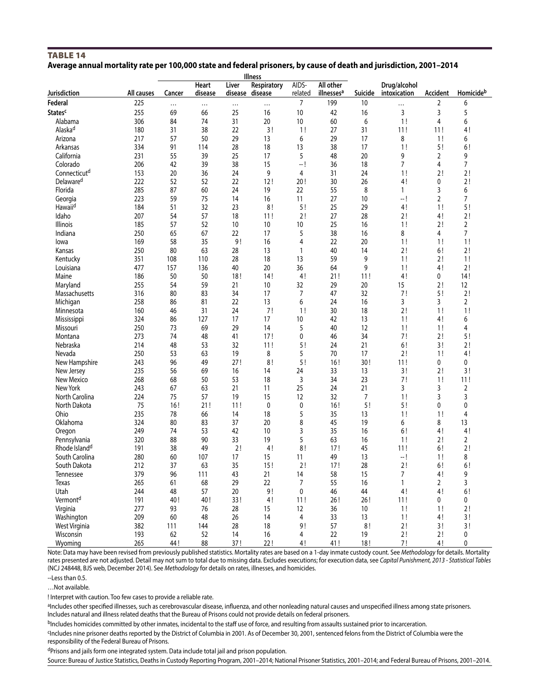#### <span id="page-12-0"></span>**TABLE 14 Average annual mortality rate per 100,000 state and federal prisoners, by cause of death and jurisdiction, 2001–2014**

| <b>Illness</b>            |            |          |                  |          |                                |                  |                                     |         |                              |          |                      |
|---------------------------|------------|----------|------------------|----------|--------------------------------|------------------|-------------------------------------|---------|------------------------------|----------|----------------------|
| Jurisdiction              | All causes | Cancer   | Heart<br>disease | Liver    | Respiratory<br>disease disease | AIDS-<br>related | All other<br>illnesses <sup>a</sup> | Suicide | Drug/alcohol<br>intoxication | Accident | Homicideb            |
| Federal                   | 225        | $\cdots$ |                  | $\cdots$ |                                | 7                | 199                                 | 10      |                              | 2        | 6                    |
| <b>States<sup>c</sup></b> | 255        | 69       | 66               | 25       | 16                             | 10               | 42                                  | 16      | 3                            | 3        | 5                    |
| Alabama                   | 306        | 84       | 74               | 31       | 20                             | 10               | 60                                  | 6       | 1!                           | 4        | 6                    |
| Alaska <sup>d</sup>       | 180        | 31       | 38               | 22       | 3!                             | 1!               | 27                                  | 31      | 11!                          | 11!      | 4!                   |
| Arizona                   | 217        | 57       | 50               | 29       | 13                             | 6                | 29                                  | 17      | 8                            | 1!       | 6                    |
| Arkansas                  | 334        | 91       | 114              | 28       | 18                             | 13               | 38                                  | 17      | 1!                           | 5!       | 6!                   |
| California                | 231        | 55       | 39               | 25       | 17                             | 5                | 48                                  | 20      | 9                            | 2        | 9                    |
| Colorado                  | 206        | 42       | 39               | 38       | 15                             | -- !             | 36                                  | 18      | 7                            | 4        | 7                    |
| Connecticut <sup>d</sup>  | 153        | 20       | 36               | 24       | 9                              | 4                | 31                                  | 24      | 1!                           | 2!       | 2!                   |
| Delaware <sup>d</sup>     | 222        | 52       | 52               | 22       | 12!                            | 20!              | 30                                  | 26      | 4!                           | 0        | 2!                   |
| Florida                   | 285        | 87       | 60               | 24       | 19                             | 22               | 55                                  | 8       | $\mathbf{1}$                 | 3        | 6                    |
| Georgia                   | 223        | 59       | 75               | 14       | 16                             | 11               | 27                                  | 10      | — !                          | 2        | 7                    |
| Hawaiid                   | 184        | 51       | 32               | 23       | 8!                             | 5!               | 25                                  | 29      | 4!                           | 1!       | 5!                   |
| Idaho                     | 207        | 54       | 57               | 18       | 11!                            | 2!               | 27                                  | 28      | 2!                           | 4!       | 2!                   |
| <b>Illinois</b>           | 185        | 57       | 52               | 10       | 10                             | 10               | 25                                  | 16      | 1!                           | 2!       | 2                    |
| Indiana                   | 250        | 65       | 67               | 22       | 17                             | 5                | 38                                  | 16      | 8                            | 4        | $\overline{7}$       |
| lowa                      | 169        | 58       | 35               | 9!       | 16                             | 4                | 22                                  | 20      | 1!                           | 1!       | 1!                   |
| Kansas                    | 250        | 80       | 63               | 28       | 13                             | $\overline{1}$   | 40                                  | 14      | 2!                           | 6!       | 2!                   |
| Kentucky                  | 351        | 108      | 110              | 28       | 18                             | 13               | 59                                  | 9       | 1!                           | 2!       | 1!                   |
| Louisiana                 | 477        | 157      | 136              | 40       | 20                             | 36               | 64                                  | 9       | 1!                           | 4!       | 2!                   |
| Maine                     | 186        | 50       | 50               | 18!      | 14!                            | 4!               | 21!                                 | 11!     | 4!                           | 0        | 14!                  |
| Maryland                  | 255        | 54       | 59               | 21       | 10                             | 32               | 29                                  | 20      | 15                           | 2!       | 12                   |
|                           | 316        | 80       | 83               | 34       | 17                             | 7                | 47                                  | 32      |                              | 5!       |                      |
| Massachusetts             | 258        | 86       | 81               | 22       | 13                             | 6                | 24                                  | 16      | 7!<br>3                      | 3        | 2!<br>$\overline{2}$ |
| Michigan                  | 160        |          | 31               | 24       | 7!                             |                  |                                     | 18      |                              | 1!       | 1!                   |
| Minnesota                 |            | 46       |                  |          |                                | 1!               | 30                                  |         | 2!                           |          |                      |
| Mississippi               | 324        | 86       | 127              | 17       | 17                             | 10               | 42                                  | 13      | 1!                           | 4!       | 6                    |
| Missouri                  | 250        | 73       | 69               | 29       | 14                             | 5                | 40                                  | 12      | 1!                           | 1!       | 4                    |
| Montana                   | 273        | 74       | 48               | 41       | 17!                            | 0                | 46                                  | 34      | 7!                           | 2!       | 5!                   |
| Nebraska                  | 214        | 48       | 53               | 32       | 11!                            | 5!               | 24                                  | 21      | 6!                           | 3!       | 2!                   |
| Nevada                    | 250        | 53       | 63               | 19       | 8                              | 5                | 70                                  | 17      | 2!                           | 1!       | 4!                   |
| New Hampshire             | 243        | 96       | 49               | 27!      | 8!                             | 5!               | 16!                                 | 30!     | 11!                          | 0        | 0                    |
| New Jersey                | 235        | 56       | 69               | 16       | 14                             | 24               | 33                                  | 13      | 3!                           | 2!       | 3!                   |
| New Mexico                | 268        | 68       | 50               | 53       | 18                             | 3                | 34                                  | 23      | 7!                           | 1!       | 11!                  |
| New York                  | 243        | 67       | 63               | 21       | 11                             | 25               | 24                                  | 21      | 3                            | 3        | 2                    |
| North Carolina            | 224        | 75       | 57               | 19       | 15                             | 12               | 32                                  | 7       | 1!                           | 3        | 3                    |
| North Dakota              | 75         | 16!      | 21!              | 11!      | 0                              | $\mathbf 0$      | 16!                                 | 5!      | 5!                           | 0        | 0                    |
| Ohio                      | 235        | 78       | 66               | 14       | 18                             | 5                | 35                                  | 13      | 1!                           | 1!       | 4                    |
| Oklahoma                  | 324        | 80       | 83               | 37       | 20                             | 8                | 45                                  | 19      | 6                            | 8        | 13                   |
| Oregon                    | 249        | 74       | 53               | 42       | 10                             | 3                | 35                                  | 16      | 6!                           | 4!       | 4!                   |
| Pennsylvania              | 320        | 88       | 90               | 33       | 19                             | 5                | 63                                  | 16      | 1!                           | 2!       | 2                    |
| Rhode Island <sup>d</sup> | 191        | 38       | 49               | 2!       | 4!                             | 8!               | 17!                                 | 45      | 11!                          | 6!       | 2!                   |
| South Carolina            | 280        | 60       | 107              | 17       | 15                             | 11               | 49                                  | 13      | — !                          | 1!       | 8                    |
| South Dakota              | 212        | 37       | 63               | 35       | 15!                            | 2!               | 17!                                 | 28      | 2!                           | 6!       | 6!                   |
| Tennessee                 | 379        | 96       | 111              | 43       | 21                             | 14               | 58                                  | 15      | 7                            | 4!       | 9                    |
| Texas                     | 265        | 61       | 68               | 29       | 22                             | 7                | 55                                  | 16      | $\mathbf{1}$                 | 2        | 3                    |
| Utah                      | 244        | 48       | 57               | 20       | 9!                             | 0                | 46                                  | 44      | 4!                           | 4!       | 6!                   |
| Vermont <sup>d</sup>      | 191        | 40!      | 40!              | 33!      | 4!                             | 11!              | 26!                                 | 26!     | 11!                          | 0        | 0                    |
| Virginia                  | 277        | 93       | 76               | 28       | 15                             | 12               | 36                                  | 10      | 1!                           | 1!       | 2!                   |
| Washington                | 209        | 60       | 48               | 26       | 14                             | 4                | 33                                  | 13      | 1!                           | 4!       | 3!                   |
| West Virginia             | 382        | 111      | 144              | 28       | 18                             | 9!               | 57                                  | 8!      | 2!                           | 3!       | 3!                   |
| Wisconsin                 | 193        | 62       | 52               | 14       | 16                             | 4                | 22                                  | 19      | 2!                           | 2!       | 0                    |
| Wyoming                   | 265        | 44 !     | 88               | 37!      | 22!                            | 4!               | 41!                                 | 18!     | 7!                           | 4!       | 0                    |

Note: Data may have been revised from previously published statistics. Mortality rates are based on a 1-day inmate custody count. See *Methodology* for details. Mortality rates presented are not adjusted. Detail may not sum to total due to missing data. Excludes executions; for execution data, see *Capital Punishment, 2013 - Statistical Tables* (NCJ 248448, BJS web, December 2014). See *Methodology* for details on rates, illnesses, and homicides.

--Less than 0.5.

…Not available.

! Interpret with caution. Too few cases to provide a reliable rate.

aIncludes other specified illnesses, such as cerebrovascular disease, influenza, and other nonleading natural causes and unspecified illness among state prisoners. Includes natural and illness related deaths that the Bureau of Prisons could not provide details on federal prisoners.

bIncludes homicides committed by other inmates, incidental to the staff use of force, and resulting from assaults sustained prior to incarceration.

cIncludes nine prisoner deaths reported by the District of Columbia in 2001. As of December 30, 2001, sentenced felons from the District of Columbia were the responsibility of the Federal Bureau of Prisons.

dPrisons and jails form one integrated system. Data include total jail and prison population.

Source: Bureau of Justice Statistics, Deaths in Custody Reporting Program, 2001–2014; National Prisoner Statistics, 2001–2014; and Federal Bureau of Prisons, 2001–2014.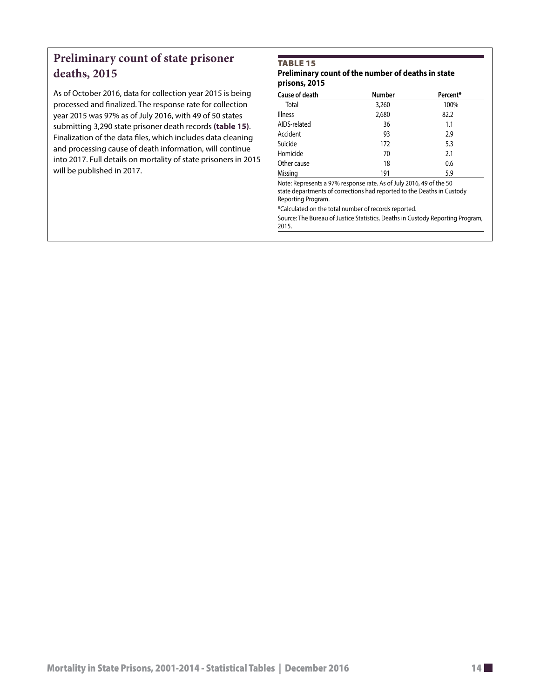# <span id="page-13-0"></span>**Preliminary count of state prisoner deaths, 2015**

As of October 2016, data for collection year 2015 is being processed and finalized. The response rate for collection year 2015 was 97% as of July 2016, with 49 of 50 states submitting 3,290 state prisoner death records **(table 15)**. Finalization of the data files, which includes data cleaning and processing cause of death information, will continue into 2017. Full details on mortality of state prisoners in 2015 will be published in 2017.

# Table 15

# **Preliminary count of the number of deaths in state prisons, 2015**

| <b>Cause of death</b> | Number | Percent* |
|-----------------------|--------|----------|
| Total                 | 3,260  | 100%     |
| <b>Illness</b>        | 2,680  | 82.2     |
| AIDS-related          | 36     | 1.1      |
| Accident              | 93     | 2.9      |
| Suicide               | 172    | 5.3      |
| Homicide              | 70     | 2.1      |
| Other cause           | 18     | 0.6      |
| Missing               | 191    | 5.9      |

Note: Represents a 97% response rate. As of July 2016, 49 of the 50 state departments of corrections had reported to the Deaths in Custody Reporting Program.

\*Calculated on the total number of records reported.

Source: The Bureau of Justice Statistics, Deaths in Custody Reporting Program, 2015.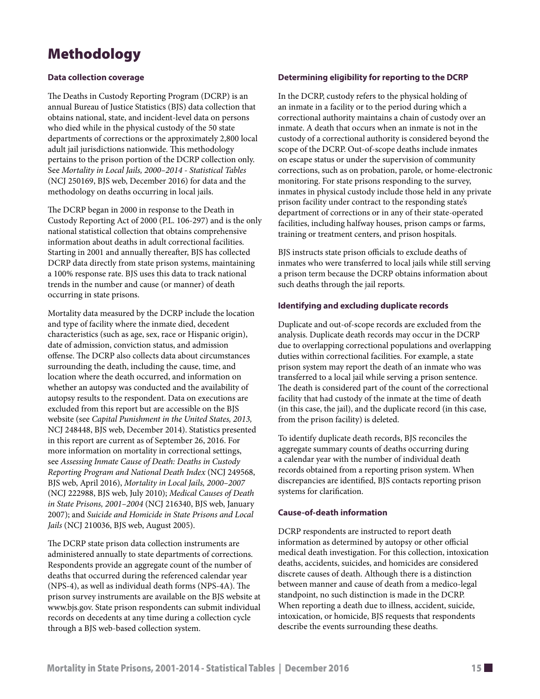# Methodology

# **Data collection coverage**

The Deaths in Custody Reporting Program (DCRP) is an annual Bureau of Justice Statistics (BJS) data collection that obtains national, state, and incident-level data on persons who died while in the physical custody of the 50 state departments of corrections or the approximately 2,800 local adult jail jurisdictions nationwide. This methodology pertains to the prison portion of the DCRP collection only. See *Mortality in Local Jails, 2000–2014 - Statistical Tables* (NCJ 250169, BJS web, December 2016) for data and the methodology on deaths occurring in local jails.

The DCRP began in 2000 in response to the Death in Custody Reporting Act of 2000 (P.L. 106-297) and is the only national statistical collection that obtains comprehensive information about deaths in adult correctional facilities. Starting in 2001 and annually thereafter, BJS has collected DCRP data directly from state prison systems, maintaining a 100% response rate. BJS uses this data to track national trends in the number and cause (or manner) of death occurring in state prisons.

Mortality data measured by the DCRP include the location and type of facility where the inmate died, decedent characteristics (such as age, sex, race or Hispanic origin), date of admission, conviction status, and admission offense. The DCRP also collects data about circumstances surrounding the death, including the cause, time, and location where the death occurred, and information on whether an autopsy was conducted and the availability of autopsy results to the respondent. Data on executions are excluded from this report but are accessible on the BJS website (see *Capital Punishment in the United States, 2013,* NCJ 248448, BJS web, December 2014). Statistics presented in this report are current as of September 26, 2016. For more information on mortality in correctional settings, see *Assessing Inmate Cause of Death: Deaths in Custody Reporting Program and National Death Index* (NCJ 249568, BJS web, April 2016), *Mortality in Local Jails, 2000–2007* (NCJ 222988, BJS web, July 2010); *Medical Causes of Death in State Prisons, 2001–2004* (NCJ 216340, BJS web, January 2007); and *Suicide and Homicide in State Prisons and Local Jails* (NCJ 210036, BJS web, August 2005).

The DCRP state prison data collection instruments are administered annually to state departments of corrections. Respondents provide an aggregate count of the number of deaths that occurred during the referenced calendar year (NPS-4), as well as individual death forms (NPS-4A). The prison survey instruments are available on the BJS website at www.bjs.gov. State prison respondents can submit individual records on decedents at any time during a collection cycle through a BJS web-based collection system.

# **Determining eligibility for reporting to the DCRP**

In the DCRP, custody refers to the physical holding of an inmate in a facility or to the period during which a correctional authority maintains a chain of custody over an inmate. A death that occurs when an inmate is not in the custody of a correctional authority is considered beyond the scope of the DCRP. Out-of-scope deaths include inmates on escape status or under the supervision of community corrections, such as on probation, parole, or home-electronic monitoring. For state prisons responding to the survey, inmates in physical custody include those held in any private prison facility under contract to the responding state's department of corrections or in any of their state-operated facilities, including halfway houses, prison camps or farms, training or treatment centers, and prison hospitals.

BJS instructs state prison officials to exclude deaths of inmates who were transferred to local jails while still serving a prison term because the DCRP obtains information about such deaths through the jail reports.

# **Identifying and excluding duplicate records**

Duplicate and out-of-scope records are excluded from the analysis. Duplicate death records may occur in the DCRP due to overlapping correctional populations and overlapping duties within correctional facilities. For example, a state prison system may report the death of an inmate who was transferred to a local jail while serving a prison sentence. The death is considered part of the count of the correctional facility that had custody of the inmate at the time of death (in this case, the jail), and the duplicate record (in this case, from the prison facility) is deleted.

To identify duplicate death records, BJS reconciles the aggregate summary counts of deaths occurring during a calendar year with the number of individual death records obtained from a reporting prison system. When discrepancies are identified, BJS contacts reporting prison systems for clarification.

# **Cause-of-death information**

DCRP respondents are instructed to report death information as determined by autopsy or other official medical death investigation. For this collection, intoxication deaths, accidents, suicides, and homicides are considered discrete causes of death. Although there is a distinction between manner and cause of death from a medico-legal standpoint, no such distinction is made in the DCRP. When reporting a death due to illness, accident, suicide, intoxication, or homicide, BJS requests that respondents describe the events surrounding these deaths.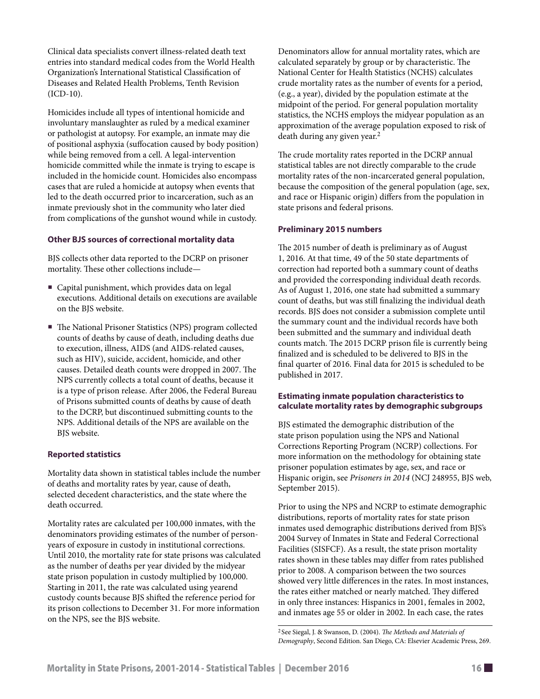Clinical data specialists convert illness-related death text entries into standard medical codes from the World Health Organization's International Statistical Classification of Diseases and Related Health Problems, Tenth Revision (ICD-10).

Homicides include all types of intentional homicide and involuntary manslaughter as ruled by a medical examiner or pathologist at autopsy. For example, an inmate may die of positional asphyxia (suffocation caused by body position) while being removed from a cell. A legal-intervention homicide committed while the inmate is trying to escape is included in the homicide count. Homicides also encompass cases that are ruled a homicide at autopsy when events that led to the death occurred prior to incarceration, such as an inmate previously shot in the community who later died from complications of the gunshot wound while in custody.

# **Other BJS sources of correctional mortality data**

BJS collects other data reported to the DCRP on prisoner mortality. These other collections include—

- Capital punishment, which provides data on legal executions. Additional details on executions are available on the BJS website.
- The National Prisoner Statistics (NPS) program collected counts of deaths by cause of death, including deaths due to execution, illness, AIDS (and AIDS-related causes, such as HIV), suicide, accident, homicide, and other causes. Detailed death counts were dropped in 2007. The NPS currently collects a total count of deaths, because it is a type of prison release. After 2006, the Federal Bureau of Prisons submitted counts of deaths by cause of death to the DCRP, but discontinued submitting counts to the NPS. Additional details of the NPS are available on the BJS website.

# **Reported statistics**

Mortality data shown in statistical tables include the number of deaths and mortality rates by year, cause of death, selected decedent characteristics, and the state where the death occurred.

Mortality rates are calculated per 100,000 inmates, with the denominators providing estimates of the number of personyears of exposure in custody in institutional corrections. Until 2010, the mortality rate for state prisons was calculated as the number of deaths per year divided by the midyear state prison population in custody multiplied by 100,000. Starting in 2011, the rate was calculated using yearend custody counts because BJS shifted the reference period for its prison collections to December 31. For more information on the NPS, see the BJS website.

Denominators allow for annual mortality rates, which are calculated separately by group or by characteristic. The National Center for Health Statistics (NCHS) calculates crude mortality rates as the number of events for a period, (e.g., a year), divided by the population estimate at the midpoint of the period. For general population mortality statistics, the NCHS employs the midyear population as an approximation of the average population exposed to risk of death during any given year.2

The crude mortality rates reported in the DCRP annual statistical tables are not directly comparable to the crude mortality rates of the non-incarcerated general population, because the composition of the general population (age, sex, and race or Hispanic origin) differs from the population in state prisons and federal prisons.

#### **Preliminary 2015 numbers**

The 2015 number of death is preliminary as of August 1, 2016. At that time, 49 of the 50 state departments of correction had reported both a summary count of deaths and provided the corresponding individual death records. As of August 1, 2016, one state had submitted a summary count of deaths, but was still finalizing the individual death records. BJS does not consider a submission complete until the summary count and the individual records have both been submitted and the summary and individual death counts match. The 2015 DCRP prison file is currently being finalized and is scheduled to be delivered to BJS in the final quarter of 2016. Final data for 2015 is scheduled to be published in 2017.

# **Estimating inmate population characteristics to calculate mortality rates by demographic subgroups**

BJS estimated the demographic distribution of the state prison population using the NPS and National Corrections Reporting Program (NCRP) collections. For more information on the methodology for obtaining state prisoner population estimates by age, sex, and race or Hispanic origin, see *Prisoners in 2014* (NCJ 248955, BJS web, September 2015).

Prior to using the NPS and NCRP to estimate demographic distributions, reports of mortality rates for state prison inmates used demographic distributions derived from BJS's 2004 Survey of Inmates in State and Federal Correctional Facilities (SISFCF). As a result, the state prison mortality rates shown in these tables may differ from rates published prior to 2008. A comparison between the two sources showed very little differences in the rates. In most instances, the rates either matched or nearly matched. They differed in only three instances: Hispanics in 2001, females in 2002, and inmates age 55 or older in 2002. In each case, the rates

<sup>2</sup> See Siegal, J. & Swanson, D. (2004). *The Methods and Materials of Demography*, Second Edition. San Diego, CA: Elsevier Academic Press, 269.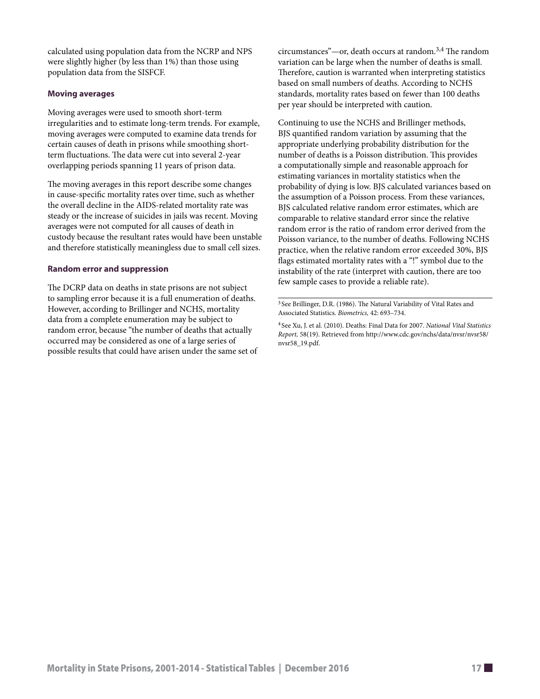calculated using population data from the NCRP and NPS were slightly higher (by less than 1%) than those using population data from the SISFCF.

# **Moving averages**

Moving averages were used to smooth short-term irregularities and to estimate long-term trends. For example, moving averages were computed to examine data trends for certain causes of death in prisons while smoothing shortterm fluctuations. The data were cut into several 2-year overlapping periods spanning 11 years of prison data.

The moving averages in this report describe some changes in cause-specific mortality rates over time, such as whether the overall decline in the AIDS-related mortality rate was steady or the increase of suicides in jails was recent. Moving averages were not computed for all causes of death in custody because the resultant rates would have been unstable and therefore statistically meaningless due to small cell sizes.

# **Random error and suppression**

The DCRP data on deaths in state prisons are not subject to sampling error because it is a full enumeration of deaths. However, according to Brillinger and NCHS, mortality data from a complete enumeration may be subject to random error, because "the number of deaths that actually occurred may be considered as one of a large series of possible results that could have arisen under the same set of circumstances"—or, death occurs at random.3,4 The random variation can be large when the number of deaths is small. Therefore, caution is warranted when interpreting statistics based on small numbers of deaths. According to NCHS standards, mortality rates based on fewer than 100 deaths per year should be interpreted with caution.

Continuing to use the NCHS and Brillinger methods, BJS quantified random variation by assuming that the appropriate underlying probability distribution for the number of deaths is a Poisson distribution. This provides a computationally simple and reasonable approach for estimating variances in mortality statistics when the probability of dying is low. BJS calculated variances based on the assumption of a Poisson process. From these variances, BJS calculated relative random error estimates, which are comparable to relative standard error since the relative random error is the ratio of random error derived from the Poisson variance, to the number of deaths. Following NCHS practice, when the relative random error exceeded 30%, BJS flags estimated mortality rates with a "!" symbol due to the instability of the rate (interpret with caution, there are too few sample cases to provide a reliable rate).

<sup>3</sup> See Brillinger, D.R. (1986). The Natural Variability of Vital Rates and Associated Statistics. *Biometrics,* 42: 693–734.

<sup>4</sup> See Xu, J. et al. (2010). Deaths: Final Data for 2007. *National Vital Statistics Report,* 58(19). Retrieved from http://www.cdc.gov/nchs/data/nvsr/nvsr58/ nvsr58\_19.pdf.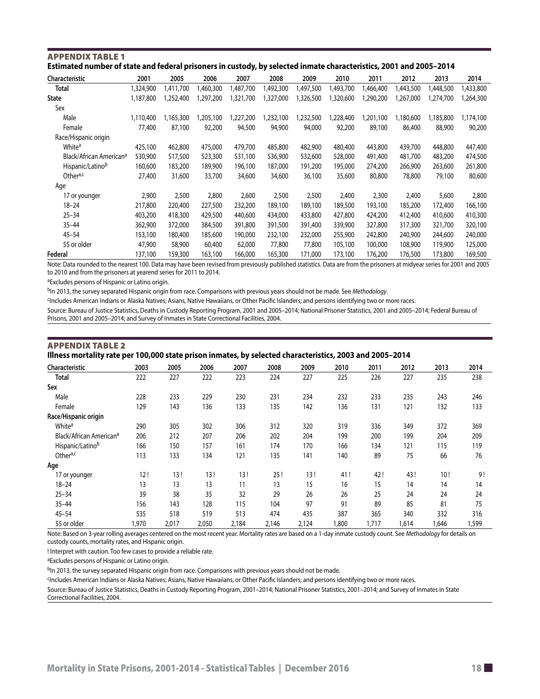| Estimated number of state and federal prisoners in custody, by selected inmate characteristics, 2001 and 2005–2014 |           |           |          |           |           |           |           |           |           |           |           |
|--------------------------------------------------------------------------------------------------------------------|-----------|-----------|----------|-----------|-----------|-----------|-----------|-----------|-----------|-----------|-----------|
| <b>Characteristic</b>                                                                                              | 2001      | 2005      | 2006     | 2007      | 2008      | 2009      | 2010      | 2011      | 2012      | 2013      | 2014      |
| Total                                                                                                              | 1,324,900 | 1,411,700 | ,460,300 | 1,487,700 | 1,492,300 | 1,497,500 | 1,493,700 | 1,466,400 | 1,443,500 | 1,448,500 | 1,433,800 |
| <b>State</b>                                                                                                       | 1,187,800 | 1,252,400 | ,297,200 | 1,321,700 | 1,327,000 | 1,326,500 | 1,320,600 | 1,290,200 | 1,267,000 | ,274,700  | ,264,300  |
| Sex                                                                                                                |           |           |          |           |           |           |           |           |           |           |           |
| Male                                                                                                               | 1.110.400 | 1.165.300 | ,205,100 | 1,227,200 | 1,232,100 | ,232,500  | 1,228,400 | ,201,100  | 1.180.600 | 1,185,800 | ,174,100  |
| Female                                                                                                             | 77,400    | 87,100    | 92,200   | 94,500    | 94,900    | 94,000    | 92,200    | 89,100    | 86,400    | 88,900    | 90,200    |
| Race/Hispanic origin                                                                                               |           |           |          |           |           |           |           |           |           |           |           |
| White <sup>a</sup>                                                                                                 | 425,100   | 462,800   | 475,000  | 479,700   | 485,800   | 482,900   | 480,400   | 443,800   | 439,700   | 448,800   | 447,400   |
| Black/African American <sup>a</sup>                                                                                | 530,900   | 517,500   | 523,300  | 531,100   | 536,900   | 532,600   | 528,000   | 491,400   | 481,700   | 483,200   | 474,500   |
| Hispanic/Latinob                                                                                                   | 160,600   | 183,200   | 189,900  | 196,100   | 187,000   | 191,200   | 195,000   | 274,200   | 266,900   | 263,600   | 261,800   |
| Other <sup>a,c</sup>                                                                                               | 27,400    | 31,600    | 33,700   | 34,600    | 34,600    | 36,100    | 35,600    | 80,800    | 78,800    | 79,100    | 80,600    |
| Age                                                                                                                |           |           |          |           |           |           |           |           |           |           |           |
| 17 or younger                                                                                                      | 2,900     | 2,500     | 2,800    | 2,600     | 2,500     | 2,500     | 2,400     | 2,300     | 2,400     | 5,600     | 2,800     |
| $18 - 24$                                                                                                          | 217,800   | 220,400   | 227,500  | 232,200   | 189,100   | 189,100   | 189,500   | 193,100   | 185,200   | 172,400   | 166,100   |
| $25 - 34$                                                                                                          | 403,200   | 418,300   | 429,500  | 440,600   | 434,000   | 433,800   | 427,800   | 424,200   | 412,400   | 410,600   | 410,300   |
| $35 - 44$                                                                                                          | 362,900   | 372,000   | 384,500  | 391,800   | 391,500   | 391,400   | 339,900   | 327,800   | 317,300   | 321,700   | 320,100   |
| $45 - 54$                                                                                                          | 153,100   | 180,400   | 185,600  | 190,000   | 232,100   | 232,000   | 255,900   | 242,800   | 240,900   | 244,600   | 240,000   |
| 55 or older                                                                                                        | 47,900    | 58,900    | 60,400   | 62,000    | 77,800    | 77,800    | 105,100   | 100,000   | 108,900   | 119,900   | 125,000   |
| Federal                                                                                                            | 137,100   | 159,300   | 163,100  | 166,000   | 165,300   | 171.000   | 173,100   | 176,200   | 176,500   | 173,800   | 169,500   |

### <span id="page-17-0"></span>Appendix table 1 **Estimated number of state and federal prisoners in custody, by selected inmate characteristics, 2001 and 2005–2014**

Note: Data rounded to the nearest 100. Data may have been revised from previously published statistics. Data are from the prisoners at midyear series for 2001 and 2005 to 2010 and from the prisoners at yearend series for 2011 to 2014.

aExcludes persons of Hispanic or Latino origin.

<sup>b</sup>In 2013, the survey separated Hispanic origin from race. Comparisons with previous years should not be made. See Methodology.

cIncludes American Indians or Alaska Natives; Asians, Native Hawaiians, or Other Pacific Islanders; and persons identifying two or more races.

Source: Bureau of Justice Statistics, Deaths in Custody Reporting Program, 2001 and 2005–2014; National Prisoner Statistics, 2001 and 2005–2014; Federal Bureau of Prisons, 2001 and 2005–2014; and Survey of Inmates in State Correctional Facilities, 2004.

# Appendix table 2 **Illness mortality rate per 100,000 state prison inmates, by selected characteristics, 2003 and 2005–2014**

| Characteristic                      | 2003  | 2005  | 2006  | 2007  | 2008  | 2009  | 2010  | 2011  | 2012  | 2013  | 2014  |
|-------------------------------------|-------|-------|-------|-------|-------|-------|-------|-------|-------|-------|-------|
| <b>Total</b>                        | 222   | 227   | 222   | 223   | 224   | 227   | 225   | 226   | 227   | 235   | 238   |
| Sex                                 |       |       |       |       |       |       |       |       |       |       |       |
| Male                                | 228   | 233   | 229   | 230   | 231   | 234   | 232   | 233   | 235   | 243   | 246   |
| Female                              | 129   | 143   | 136   | 133   | 135   | 142   | 136   | 131   | 121   | 132   | 133   |
| Race/Hispanic origin                |       |       |       |       |       |       |       |       |       |       |       |
| White <sup>a</sup>                  | 290   | 305   | 302   | 306   | 312   | 320   | 319   | 336   | 349   | 372   | 369   |
| Black/African American <sup>a</sup> | 206   | 212   | 207   | 206   | 202   | 204   | 199   | 200   | 199   | 204   | 209   |
| Hispanic/Latinob                    | 166   | 150   | 157   | 161   | 174   | 170   | 166   | 134   | 121   | 115   | 119   |
| Othera,c                            | 113   | 133   | 134   | 121   | 135   | 141   | 140   | 89    | 75    | 66    | 76    |
| Age                                 |       |       |       |       |       |       |       |       |       |       |       |
| 17 or younger                       | 12!   | 13!   | 13!   | 13!   | 25!   | 13!   | 41!   | 42!   | 43!   | 10!   | 9!    |
| $18 - 24$                           | 13    | 13    | 13    | 11    | 13    | 15    | 16    | 15    | 14    | 14    | 14    |
| $25 - 34$                           | 39    | 38    | 35    | 32    | 29    | 26    | 26    | 25    | 24    | 24    | 24    |
| $35 - 44$                           | 156   | 143   | 128   | 115   | 104   | 97    | 91    | 89    | 85    | 81    | 75    |
| $45 - 54$                           | 535   | 518   | 519   | 513   | 474   | 435   | 387   | 365   | 340   | 332   | 316   |
| 55 or older                         | 1,970 | 2,017 | 2,050 | 2,184 | 2,146 | 2,124 | 1,800 | 1,717 | 1,614 | 1,646 | 1,599 |

Note: Based on 3-year rolling averages centered on the most recent year. Mortality rates are based on a 1-day inmate custody count. See *Methodology* for details on custody counts, mortality rates, and Hispanic origin.

! Interpret with caution. Too few cases to provide a reliable rate.

aExcludes persons of Hispanic or Latino origin.

bIn 2013, the survey separated Hispanic origin from race. Comparisons with previous years should not be made.

cIncludes American Indians or Alaska Natives; Asians, Native Hawaiians, or Other Pacific Islanders; and persons identifying two or more races.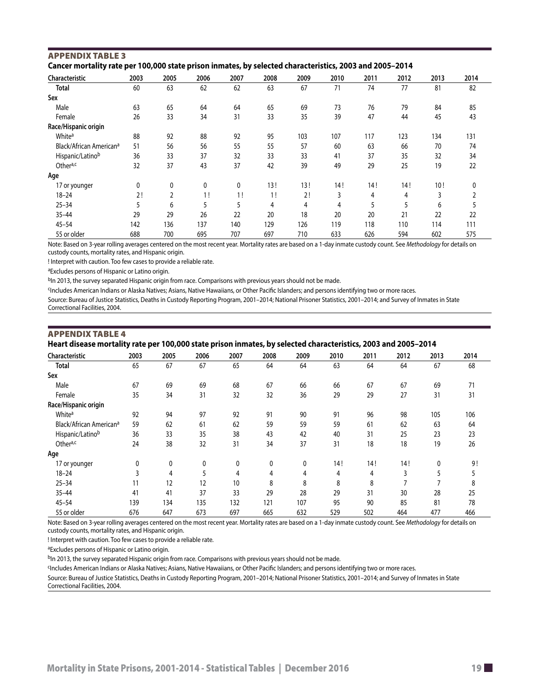| Cancer mortality rate per 100,000 state prison inmates, by selected characteristics, 2003 and 2005–2014 |      |      |      |      |      |      |      |      |      |      |      |  |
|---------------------------------------------------------------------------------------------------------|------|------|------|------|------|------|------|------|------|------|------|--|
| Characteristic                                                                                          | 2003 | 2005 | 2006 | 2007 | 2008 | 2009 | 2010 | 2011 | 2012 | 2013 | 2014 |  |
| Total                                                                                                   | 60   | 63   | 62   | 62   | 63   | 67   | 71   | 74   | 77   | 81   | 82   |  |
| Sex                                                                                                     |      |      |      |      |      |      |      |      |      |      |      |  |
| Male                                                                                                    | 63   | 65   | 64   | 64   | 65   | 69   | 73   | 76   | 79   | 84   | 85   |  |
| Female                                                                                                  | 26   | 33   | 34   | 31   | 33   | 35   | 39   | 47   | 44   | 45   | 43   |  |
| Race/Hispanic origin                                                                                    |      |      |      |      |      |      |      |      |      |      |      |  |
| White <sup>a</sup>                                                                                      | 88   | 92   | 88   | 92   | 95   | 103  | 107  | 117  | 123  | 134  | 131  |  |
| Black/African American <sup>a</sup>                                                                     | 51   | 56   | 56   | 55   | 55   | 57   | 60   | 63   | 66   | 70   | 74   |  |
| Hispanic/Latinob                                                                                        | 36   | 33   | 37   | 32   | 33   | 33   | 41   | 37   | 35   | 32   | 34   |  |
| Othera,c                                                                                                | 32   | 37   | 43   | 37   | 42   | 39   | 49   | 29   | 25   | 19   | 22   |  |
| Age                                                                                                     |      |      |      |      |      |      |      |      |      |      |      |  |
| 17 or younger                                                                                           | 0    | 0    | 0    | 0    | 13!  | 13!  | 14 ! | 14!  | 14!  | 10!  |      |  |
| $18 - 24$                                                                                               | 2!   | 2    | 1!   | 1!   | 1!   | 2!   | 3    | 4    | 4    | 3    |      |  |
| $25 - 34$                                                                                               |      | 6    | 5    |      | 4    | 4    | 4    | 5    | 5    | 6    |      |  |
| $35 - 44$                                                                                               | 29   | 29   | 26   | 22   | 20   | 18   | 20   | 20   | 21   | 22   | 22   |  |
| $45 - 54$                                                                                               | 142  | 136  | 137  | 140  | 129  | 126  | 119  | 118  | 110  | 114  | 111  |  |
| 55 or older                                                                                             | 688  | 700  | 695  | 707  | 697  | 710  | 633  | 626  | 594  | 602  | 575  |  |

55 or older 688 700 695 707 697 710 633 626 594 602 575 Note: Based on 3-year rolling averages centered on the most recent year. Mortality rates are based on a 1-day inmate custody count. See *Methodology* for details on

custody counts, mortality rates, and Hispanic origin.

! Interpret with caution. Too few cases to provide a reliable rate.

aExcludes persons of Hispanic or Latino origin.

<span id="page-18-0"></span>Appendix table 3

bIn 2013, the survey separated Hispanic origin from race. Comparisons with previous years should not be made.

<sup>c</sup>Includes American Indians or Alaska Natives; Asians, Native Hawaiians, or Other Pacific Islanders; and persons identifying two or more races.

Source: Bureau of Justice Statistics, Deaths in Custody Reporting Program, 2001–2014; National Prisoner Statistics, 2001–2014; and Survey of Inmates in State Correctional Facilities, 2004.

| <b>APPENDIX TABLE 4</b>                                                                                        |  |  |
|----------------------------------------------------------------------------------------------------------------|--|--|
| Heart disease mortality rate per 100,000 state prison inmates, by selected characteristics, 2003 and 2005–2014 |  |  |

| Characteristic                      | ,<br>2003    | 2005 | p<br>2006 | 2007 | -, - ,<br>2008 | 2009         | 2010 | 2011 | 2012 | 2013 | 2014 |
|-------------------------------------|--------------|------|-----------|------|----------------|--------------|------|------|------|------|------|
| <b>Total</b>                        | 65           | 67   | 67        | 65   | 64             | 64           | 63   | 64   | 64   | 67   | 68   |
| Sex                                 |              |      |           |      |                |              |      |      |      |      |      |
| Male                                | 67           | 69   | 69        | 68   | 67             | 66           | 66   | 67   | 67   | 69   | 71   |
| Female                              | 35           | 34   | 31        | 32   | 32             | 36           | 29   | 29   | 27   | 31   | 31   |
| Race/Hispanic origin                |              |      |           |      |                |              |      |      |      |      |      |
| White <sup>a</sup>                  | 92           | 94   | 97        | 92   | 91             | 90           | 91   | 96   | 98   | 105  | 106  |
| Black/African American <sup>a</sup> | 59           | 62   | 61        | 62   | 59             | 59           | 59   | 61   | 62   | 63   | 64   |
| Hispanic/Latinob                    | 36           | 33   | 35        | 38   | 43             | 42           | 40   | 31   | 25   | 23   | 23   |
| Othera,c                            | 24           | 38   | 32        | 31   | 34             | 37           | 31   | 18   | 18   | 19   | 26   |
| Age                                 |              |      |           |      |                |              |      |      |      |      |      |
| 17 or younger                       | $\mathbf{0}$ | 0    | 0         | 0    | 0              | $\mathbf{0}$ | 14!  | 14!  | 14!  | 0    | 9!   |
| $18 - 24$                           |              | 4    | 5         | 4    | 4              | 4            | 4    | 4    | 3    | 5    |      |
| $25 - 34$                           | 11           | 12   | 12        | 10   | 8              | 8            | 8    | 8    |      |      | 8    |
| $35 - 44$                           | 41           | 41   | 37        | 33   | 29             | 28           | 29   | 31   | 30   | 28   | 25   |
| $45 - 54$                           | 139          | 134  | 135       | 132  | 121            | 107          | 95   | 90   | 85   | 81   | 78   |
| 55 or older                         | 676          | 647  | 673       | 697  | 665            | 632          | 529  | 502  | 464  | 477  | 466  |

Note: Based on 3-year rolling averages centered on the most recent year. Mortality rates are based on a 1-day inmate custody count. See *Methodology* for details on custody counts, mortality rates, and Hispanic origin.

! Interpret with caution. Too few cases to provide a reliable rate.

aExcludes persons of Hispanic or Latino origin.

bIn 2013, the survey separated Hispanic origin from race. Comparisons with previous years should not be made.

<sup>c</sup>Includes American Indians or Alaska Natives; Asians, Native Hawaiians, or Other Pacific Islanders; and persons identifying two or more races.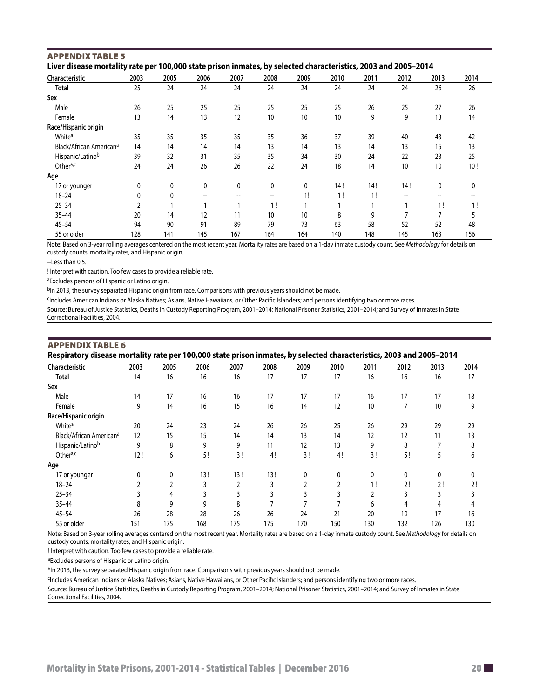| Liver disease mortality rate per 100,000 state prison inmates, by selected characteristics, 2003 and 2005–2014 |      |      |      |                                                     |                   |      |      |      |                                     |                                       |      |  |
|----------------------------------------------------------------------------------------------------------------|------|------|------|-----------------------------------------------------|-------------------|------|------|------|-------------------------------------|---------------------------------------|------|--|
| Characteristic                                                                                                 | 2003 | 2005 | 2006 | 2007                                                | 2008              | 2009 | 2010 | 2011 | 2012                                | 2013                                  | 2014 |  |
| <b>Total</b>                                                                                                   | 25   | 24   | 24   | 24                                                  | 24                | 24   | 24   | 24   | 24                                  | 26                                    | 26   |  |
| Sex                                                                                                            |      |      |      |                                                     |                   |      |      |      |                                     |                                       |      |  |
| Male                                                                                                           | 26   | 25   | 25   | 25                                                  | 25                | 25   | 25   | 26   | 25                                  | 27                                    | 26   |  |
| Female                                                                                                         | 13   | 14   | 13   | 12                                                  | 10                | 10   | 10   | 9    | 9                                   | 13                                    | 14   |  |
| Race/Hispanic origin                                                                                           |      |      |      |                                                     |                   |      |      |      |                                     |                                       |      |  |
| White <sup>a</sup>                                                                                             | 35   | 35   | 35   | 35                                                  | 35                | 36   | 37   | 39   | 40                                  | 43                                    | 42   |  |
| Black/African American <sup>a</sup>                                                                            | 14   | 14   | 14   | 14                                                  | 13                | 14   | 13   | 14   | 13                                  | 15                                    | 13   |  |
| Hispanic/Latinob                                                                                               | 39   | 32   | 31   | 35                                                  | 35                | 34   | 30   | 24   | 22                                  | 23                                    | 25   |  |
| Othera,c                                                                                                       | 24   | 24   | 26   | 26                                                  | 22                | 24   | 18   | 14   | 10                                  | 10                                    | 10!  |  |
| Age                                                                                                            |      |      |      |                                                     |                   |      |      |      |                                     |                                       |      |  |
| 17 or younger                                                                                                  | 0    | 0    | 0    | 0                                                   | 0                 | 0    | 14!  | 14!  | 14!                                 | 0                                     | 0    |  |
| $18 - 24$                                                                                                      | 0    | 0    | -- I | $\hspace{0.05cm} -\hspace{0.05cm} -\hspace{0.05cm}$ | $\hspace{0.05cm}$ | 1!   | 1!   | 1!   | $\hspace{0.05cm}$ $\hspace{0.05cm}$ | $\hspace{0.05cm}$ – $\hspace{0.05cm}$ |      |  |
| $25 - 34$                                                                                                      |      |      |      |                                                     | 1!                |      |      |      |                                     | 1!                                    | 1!   |  |
| $35 - 44$                                                                                                      | 20   | 14   | 12   | 11                                                  | 10                | 10   | 8    | 9    | 7                                   | 7                                     |      |  |
| $45 - 54$                                                                                                      | 94   | 90   | 91   | 89                                                  | 79                | 73   | 63   | 58   | 52                                  | 52                                    | 48   |  |
| 55 or older                                                                                                    | 128  | 141  | 145  | 167                                                 | 164               | 164  | 140  | 148  | 145                                 | 163                                   | 156  |  |

#### <span id="page-19-0"></span>Appendix table 5 **Liver disease mortality rate per 100,000 state prison inmates, by selected characteristics, 2003 and 2005–2014**

Note: Based on 3-year rolling averages centered on the most recent year. Mortality rates are based on a 1-day inmate custody count. See *Methodology* for details on custody counts, mortality rates, and Hispanic origin.

--Less than 0.5.

! Interpret with caution. Too few cases to provide a reliable rate.

aExcludes persons of Hispanic or Latino origin.

<sup>b</sup>In 2013, the survey separated Hispanic origin from race. Comparisons with previous years should not be made.

CIncludes American Indians or Alaska Natives; Asians, Native Hawaiians, or Other Pacific Islanders; and persons identifying two or more races.

Source: Bureau of Justice Statistics, Deaths in Custody Reporting Program, 2001–2014; National Prisoner Statistics, 2001–2014; and Survey of Inmates in State Correctional Facilities, 2004.

# Appendix table 6

**Respiratory disease mortality rate per 100,000 state prison inmates, by selected characteristics, 2003 and 2005–2014**

| Characteristic                      | 2003 | 2005 | 2006 | 2007 | 2008 | 2009 | 2010 | 2011 | 2012           | 2013 | 2014 |
|-------------------------------------|------|------|------|------|------|------|------|------|----------------|------|------|
| <b>Total</b>                        | 14   | 16   | 16   | 16   | 17   | 17   | 17   | 16   | 16             | 16   | 17   |
| Sex                                 |      |      |      |      |      |      |      |      |                |      |      |
| Male                                | 14   | 17   | 16   | 16   | 17   | 17   | 17   | 16   | 17             | 17   | 18   |
| Female                              | 9    | 14   | 16   | 15   | 16   | 14   | 12   | 10   | $\overline{7}$ | 10   | 9    |
| Race/Hispanic origin                |      |      |      |      |      |      |      |      |                |      |      |
| White <sup>a</sup>                  | 20   | 24   | 23   | 24   | 26   | 26   | 25   | 26   | 29             | 29   | 29   |
| Black/African American <sup>a</sup> | 12   | 15   | 15   | 14   | 14   | 13   | 14   | 12   | 12             | 11   | 13   |
| Hispanic/Latinob                    | 9    | 8    | 9    | 9    | 11   | 12   | 13   | 9    | 8              |      | 8    |
| Othera,c                            | 12!  | 6!   | 5!   | 3!   | 4!   | 3!   | 4!   | 3!   | 5!             | 5    | 6    |
| Age                                 |      |      |      |      |      |      |      |      |                |      |      |
| 17 or younger                       | 0    | 0    | 13!  | 13!  | 13!  | 0    | 0    | 0    | 0              | 0    | 0    |
| $18 - 24$                           |      | 2!   | 3    | 2    | 3    | ∍    |      | 1!   | 2!             | 2!   | 2!   |
| $25 - 34$                           |      | 4    | 3    | 3    | 3    | 3    |      |      | 3              | 3    |      |
| $35 - 44$                           | 8    | 9    | 9    | 8    | -    |      |      | 6    | 4              | 4    |      |
| $45 - 54$                           | 26   | 28   | 28   | 26   | 26   | 24   | 21   | 20   | 19             | 17   | 16   |
| 55 or older                         | 151  | 175  | 168  | 175  | 175  | 170  | 150  | 130  | 132            | 126  | 130  |

Note: Based on 3-year rolling averages centered on the most recent year. Mortality rates are based on a 1-day inmate custody count. See *Methodology* for details on custody counts, mortality rates, and Hispanic origin.

! Interpret with caution. Too few cases to provide a reliable rate.

aExcludes persons of Hispanic or Latino origin.

bIn 2013, the survey separated Hispanic origin from race. Comparisons with previous years should not be made.

<sup>c</sup>Includes American Indians or Alaska Natives; Asians, Native Hawaiians, or Other Pacific Islanders; and persons identifying two or more races.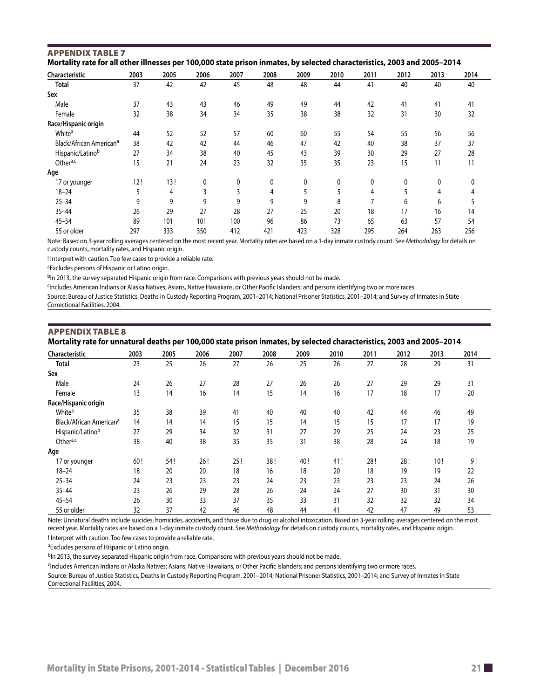| Mortality rate for all other illnesses per 100,000 state prison inmates, by selected characteristics, 2003 and 2005–2014 |      |      |      |      |      |      |      |      |      |      |      |  |
|--------------------------------------------------------------------------------------------------------------------------|------|------|------|------|------|------|------|------|------|------|------|--|
| Characteristic                                                                                                           | 2003 | 2005 | 2006 | 2007 | 2008 | 2009 | 2010 | 2011 | 2012 | 2013 | 2014 |  |
| Total                                                                                                                    | 37   | 42   | 42   | 45   | 48   | 48   | 44   | 41   | 40   | 40   | 40   |  |
| Sex                                                                                                                      |      |      |      |      |      |      |      |      |      |      |      |  |
| Male                                                                                                                     | 37   | 43   | 43   | 46   | 49   | 49   | 44   | 42   | 41   | 41   | 41   |  |
| Female                                                                                                                   | 32   | 38   | 34   | 34   | 35   | 38   | 38   | 32   | 31   | 30   | 32   |  |
| Race/Hispanic origin                                                                                                     |      |      |      |      |      |      |      |      |      |      |      |  |
| White <sup>a</sup>                                                                                                       | 44   | 52   | 52   | 57   | 60   | 60   | 55   | 54   | 55   | 56   | 56   |  |
| Black/African American <sup>a</sup>                                                                                      | 38   | 42   | 42   | 44   | 46   | 47   | 42   | 40   | 38   | 37   | 37   |  |
| Hispanic/Latinob                                                                                                         | 27   | 34   | 38   | 40   | 45   | 43   | 39   | 30   | 29   | 27   | 28   |  |
| Othera,c                                                                                                                 | 15   | 21   | 24   | 23   | 32   | 35   | 35   | 23   | 15   | 11   | 11   |  |
| Age                                                                                                                      |      |      |      |      |      |      |      |      |      |      |      |  |
| 17 or younger                                                                                                            | 12!  | 13!  | 0    | 0    | 0    | 0    | 0    | 0    | 0    | 0    | 0    |  |
| $18 - 24$                                                                                                                |      | 4    | 3    | 3    | 4    |      |      | 4    |      | 4    |      |  |
| $25 - 34$                                                                                                                | 9    | 9    | 9    | 9    | 9    | 9    | 8    |      | 6    | 6    |      |  |
| $35 - 44$                                                                                                                | 26   | 29   | 27   | 28   | 27   | 25   | 20   | 18   | 17   | 16   | 14   |  |
| $45 - 54$                                                                                                                | 89   | 101  | 101  | 100  | 96   | 86   | 73   | 65   | 63   | 57   | 54   |  |
| 55 or older                                                                                                              | 297  | 333  | 350  | 412  | 421  | 423  | 328  | 295  | 264  | 263  | 256  |  |

# <span id="page-20-0"></span>Appendix table 7

Note: Based on 3-year rolling averages centered on the most recent year. Mortality rates are based on a 1-day inmate custody count. See *Methodology* for details on custody counts, mortality rates, and Hispanic origin.

! Interpret with caution. Too few cases to provide a reliable rate.

<sup>a</sup>Excludes persons of Hispanic or Latino origin.

bIn 2013, the survey separated Hispanic origin from race. Comparisons with previous years should not be made.

cIncludes American Indians or Alaska Natives; Asians, Native Hawaiians, or Other Pacific Islanders; and persons identifying two or more races.

Source: Bureau of Justice Statistics, Deaths in Custody Reporting Program, 2001–2014; National Prisoner Statistics, 2001–2014; and Survey of Inmates in State Correctional Facilities, 2004.

# Appendix table 8

### **Mortality rate for unnatural deaths per 100,000 state prison inmates, by selected characteristics, 2003 and 2005–2014**

| Characteristic                      | 2003 | 2005 | 2006 | 2007 | 2008 | 2009 | 2010 | 2011 | 2012 | 2013 | 2014 |
|-------------------------------------|------|------|------|------|------|------|------|------|------|------|------|
| <b>Total</b>                        | 23   | 25   | 26   | 27   | 26   | 25   | 26   | 27   | 28   | 29   | 31   |
| Sex                                 |      |      |      |      |      |      |      |      |      |      |      |
| Male                                | 24   | 26   | 27   | 28   | 27   | 26   | 26   | 27   | 29   | 29   | 31   |
| Female                              | 13   | 14   | 16   | 14   | 15   | 14   | 16   | 17   | 18   | 17   | 20   |
| Race/Hispanic origin                |      |      |      |      |      |      |      |      |      |      |      |
| White <sup>a</sup>                  | 35   | 38   | 39   | 41   | 40   | 40   | 40   | 42   | 44   | 46   | 49   |
| Black/African American <sup>a</sup> | 14   | 14   | 14   | 15   | 15   | 14   | 15   | 15   | 17   | 17   | 19   |
| Hispanic/Latinob                    | 27   | 29   | 34   | 32   | 31   | 27   | 29   | 25   | 24   | 23   | 25   |
| Othera,c                            | 38   | 40   | 38   | 35   | 35   | 31   | 38   | 28   | 24   | 18   | 19   |
| Age                                 |      |      |      |      |      |      |      |      |      |      |      |
| 17 or younger                       | 60!  | 54!  | 26!  | 25!  | 38!  | 40!  | 41!  | 28!  | 28!  | 10!  | 9!   |
| $18 - 24$                           | 18   | 20   | 20   | 18   | 16   | 18   | 20   | 18   | 19   | 19   | 22   |
| $25 - 34$                           | 24   | 23   | 23   | 23   | 24   | 23   | 23   | 23   | 23   | 24   | 26   |
| $35 - 44$                           | 23   | 26   | 29   | 28   | 26   | 24   | 24   | 27   | 30   | 31   | 30   |
| $45 - 54$                           | 26   | 30   | 33   | 37   | 35   | 33   | 31   | 32   | 32   | 32   | 34   |
| 55 or older                         | 32   | 37   | 42   | 46   | 48   | 44   | 41   | 42   | 47   | 49   | 53   |

Note: Unnatural deaths include suicides, homicides, accidents, and those due to drug or alcohol intoxication. Based on 3-year rolling averages centered on the most recent year. Mortality rates are based on a 1-day inmate custody count. See *Methodology* for details on custody counts, mortality rates, and Hispanic origin. ! Interpret with caution. Too few cases to provide a reliable rate.

aExcludes persons of Hispanic or Latino origin.

b<sub>In</sub> 2013, the survey separated Hispanic origin from race. Comparisons with previous years should not be made.

CIncludes American Indians or Alaska Natives; Asians, Native Hawaiians, or Other Pacific Islanders; and persons identifying two or more races.